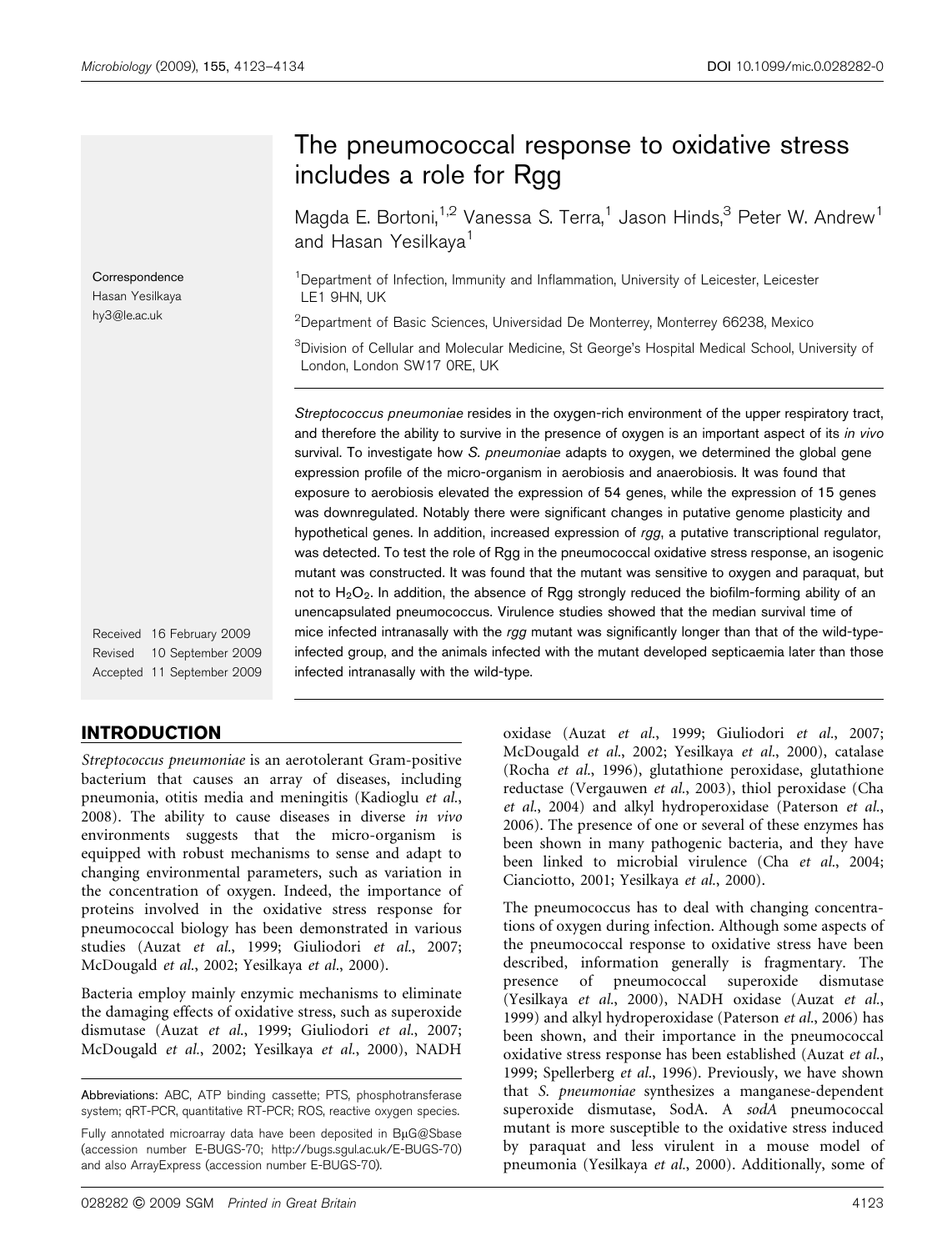Correspondence Hasan Yesilkaya hy3@le.ac.uk

The pneumococcal response to oxidative stress includes a role for Rgg

Magda E. Bortoni,<sup>1,2</sup> Vanessa S. Terra,<sup>1</sup> Jason Hinds,<sup>3</sup> Peter W. Andrew<sup>1</sup> and Hasan Yesilkaya<sup>1</sup>

<sup>1</sup>Department of Infection, Immunity and Inflammation, University of Leicester, Leicester LE1 9HN, UK

 $^{2}$ Department of Basic Sciences, Universidad De Monterrey, Monterrey 66238, Mexico

 ${}^{3}$ Division of Cellular and Molecular Medicine, St George's Hospital Medical School, University of London, London SW17 0RE, UK

Streptococcus pneumoniae resides in the oxygen-rich environment of the upper respiratory tract, and therefore the ability to survive in the presence of oxygen is an important aspect of its in vivo survival. To investigate how S. pneumoniae adapts to oxygen, we determined the global gene expression profile of the micro-organism in aerobiosis and anaerobiosis. It was found that exposure to aerobiosis elevated the expression of 54 genes, while the expression of 15 genes was downregulated. Notably there were significant changes in putative genome plasticity and hypothetical genes. In addition, increased expression of rgg, a putative transcriptional regulator, was detected. To test the role of Rgg in the pneumococcal oxidative stress response, an isogenic mutant was constructed. It was found that the mutant was sensitive to oxygen and paraquat, but not to  $H_2O_2$ . In addition, the absence of Rgg strongly reduced the biofilm-forming ability of an unencapsulated pneumococcus. Virulence studies showed that the median survival time of mice infected intranasally with the rgg mutant was significantly longer than that of the wild-typeinfected group, and the animals infected with the mutant developed septicaemia later than those infected intranasally with the wild-type.

Received 16 February 2009 Revised 10 September 2009 Accepted 11 September 2009

## INTRODUCTION

Streptococcus pneumoniae is an aerotolerant Gram-positive bacterium that causes an array of diseases, including pneumonia, otitis media and meningitis (Kadioglu et al., 2008). The ability to cause diseases in diverse in vivo environments suggests that the micro-organism is equipped with robust mechanisms to sense and adapt to changing environmental parameters, such as variation in the concentration of oxygen. Indeed, the importance of proteins involved in the oxidative stress response for pneumococcal biology has been demonstrated in various studies (Auzat et al., 1999; Giuliodori et al., 2007; McDougald et al., 2002; Yesilkaya et al., 2000).

Bacteria employ mainly enzymic mechanisms to eliminate the damaging effects of oxidative stress, such as superoxide dismutase (Auzat et al., 1999; Giuliodori et al., 2007; McDougald et al., 2002; Yesilkaya et al., 2000), NADH

Abbreviations: ABC, ATP binding cassette; PTS, phosphotransferase system; qRT-PCR, quantitative RT-PCR; ROS, reactive oxygen species.

Fully annotated microarray data have been deposited in  $B\mu G@S$ base (accession number E-BUGS-70; http://bugs.sgul.ac.uk/E-BUGS-70) and also ArrayExpress (accession number E-BUGS-70).

oxidase (Auzat et al., 1999; Giuliodori et al., 2007; McDougald et al., 2002; Yesilkaya et al., 2000), catalase (Rocha et al., 1996), glutathione peroxidase, glutathione reductase (Vergauwen et al., 2003), thiol peroxidase (Cha et al., 2004) and alkyl hydroperoxidase (Paterson et al., 2006). The presence of one or several of these enzymes has been shown in many pathogenic bacteria, and they have been linked to microbial virulence (Cha et al., 2004; Cianciotto, 2001; Yesilkaya et al., 2000).

The pneumococcus has to deal with changing concentrations of oxygen during infection. Although some aspects of the pneumococcal response to oxidative stress have been described, information generally is fragmentary. The presence of pneumococcal superoxide dismutase (Yesilkaya et al., 2000), NADH oxidase (Auzat et al., 1999) and alkyl hydroperoxidase (Paterson et al., 2006) has been shown, and their importance in the pneumococcal oxidative stress response has been established (Auzat et al., 1999; Spellerberg et al., 1996). Previously, we have shown that S. pneumoniae synthesizes a manganese-dependent superoxide dismutase, SodA. A sodA pneumococcal mutant is more susceptible to the oxidative stress induced by paraquat and less virulent in a mouse model of pneumonia (Yesilkaya et al., 2000). Additionally, some of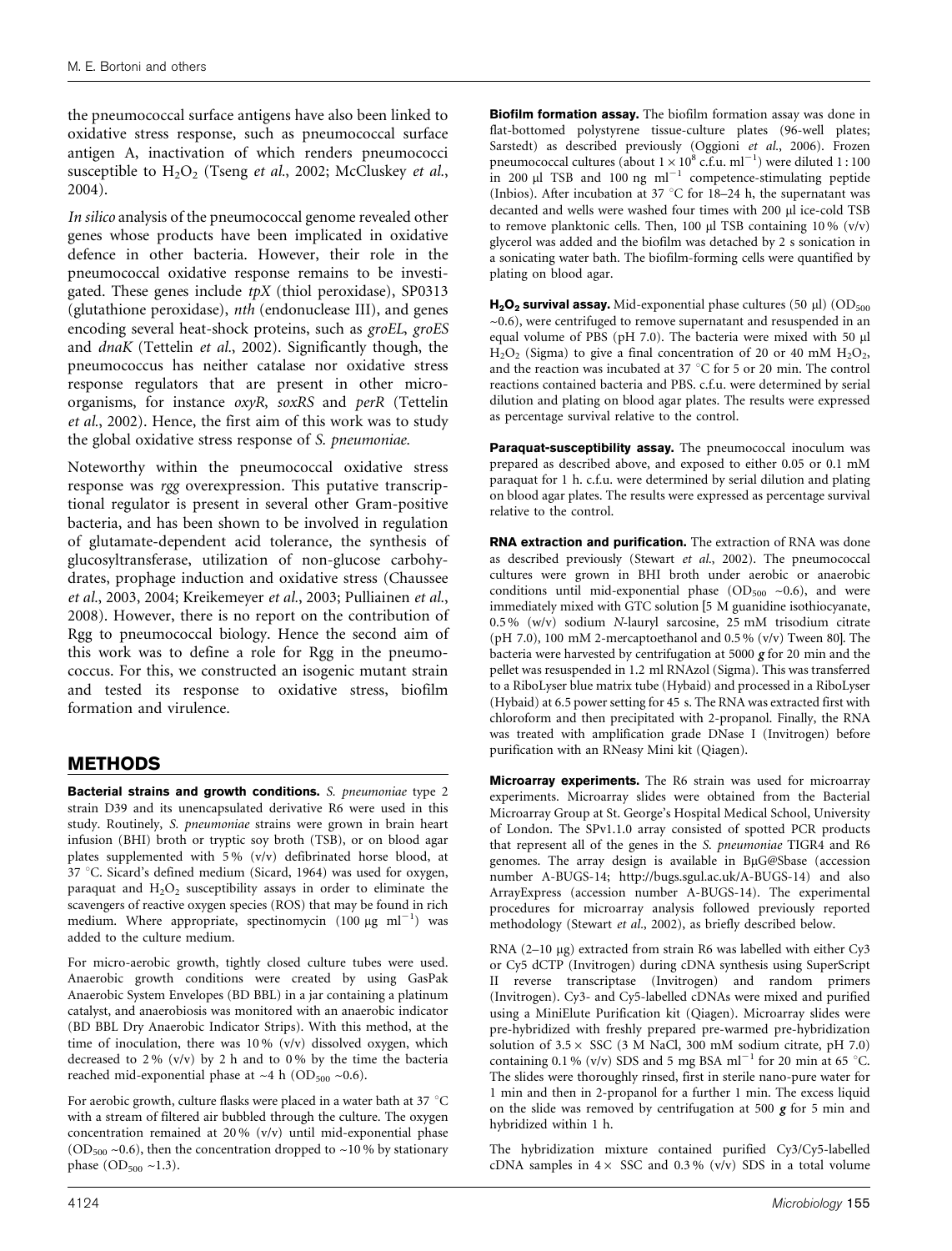the pneumococcal surface antigens have also been linked to oxidative stress response, such as pneumococcal surface antigen A, inactivation of which renders pneumococci susceptible to  $H_2O_2$  (Tseng et al., 2002; McCluskey et al., 2004).

In silico analysis of the pneumococcal genome revealed other genes whose products have been implicated in oxidative defence in other bacteria. However, their role in the pneumococcal oxidative response remains to be investigated. These genes include  $tpX$  (thiol peroxidase), SP0313 (glutathione peroxidase), nth (endonuclease III), and genes encoding several heat-shock proteins, such as groEL, groES and dnaK (Tettelin et al., 2002). Significantly though, the pneumococcus has neither catalase nor oxidative stress response regulators that are present in other microorganisms, for instance oxyR, soxRS and perR (Tettelin et al., 2002). Hence, the first aim of this work was to study the global oxidative stress response of S. pneumoniae.

Noteworthy within the pneumococcal oxidative stress response was rgg overexpression. This putative transcriptional regulator is present in several other Gram-positive bacteria, and has been shown to be involved in regulation of glutamate-dependent acid tolerance, the synthesis of glucosyltransferase, utilization of non-glucose carbohydrates, prophage induction and oxidative stress (Chaussee et al., 2003, 2004; Kreikemeyer et al., 2003; Pulliainen et al., 2008). However, there is no report on the contribution of Rgg to pneumococcal biology. Hence the second aim of this work was to define a role for Rgg in the pneumococcus. For this, we constructed an isogenic mutant strain and tested its response to oxidative stress, biofilm formation and virulence.

## METHODS

Bacterial strains and growth conditions. S. pneumoniae type 2 strain D39 and its unencapsulated derivative R6 were used in this study. Routinely, S. pneumoniae strains were grown in brain heart infusion (BHI) broth or tryptic soy broth (TSB), or on blood agar plates supplemented with 5 % (v/v) defibrinated horse blood, at 37 °C. Sicard's defined medium (Sicard, 1964) was used for oxygen, paraquat and  $H_2O_2$  susceptibility assays in order to eliminate the scavengers of reactive oxygen species (ROS) that may be found in rich medium. Where appropriate, spectinomycin  $(100 \text{ µg ml}^{-1})$  was added to the culture medium.

For micro-aerobic growth, tightly closed culture tubes were used. Anaerobic growth conditions were created by using GasPak Anaerobic System Envelopes (BD BBL) in a jar containing a platinum catalyst, and anaerobiosis was monitored with an anaerobic indicator (BD BBL Dry Anaerobic Indicator Strips). With this method, at the time of inoculation, there was 10% (v/v) dissolved oxygen, which decreased to  $2\%$  (v/v) by 2 h and to 0% by the time the bacteria reached mid-exponential phase at  $~4$  h (OD<sub>500</sub>  $~0.6$ ).

For aerobic growth, culture flasks were placed in a water bath at 37  $^{\circ}$ C with a stream of filtered air bubbled through the culture. The oxygen concentration remained at 20 % (v/v) until mid-exponential phase (OD<sub>500</sub>  $\sim$ 0.6), then the concentration dropped to  $\sim$ 10% by stationary phase  $OD_{500} \sim 1.3$ ).

Biofilm formation assay. The biofilm formation assay was done in flat-bottomed polystyrene tissue-culture plates (96-well plates; Sarstedt) as described previously (Oggioni et al., 2006). Frozen pneumococcal cultures (about  $1 \times 10^8$  c.f.u. ml<sup>-1</sup>) were diluted 1 : 100 in 200  $\mu$ l TSB and 100 ng ml<sup>-1</sup> competence-stimulating peptide (Inbios). After incubation at 37 °C for 18–24 h, the supernatant was decanted and wells were washed four times with 200 µl ice-cold TSB to remove planktonic cells. Then, 100  $\mu$ l TSB containing 10 % (v/v) glycerol was added and the biofilm was detached by 2 s sonication in a sonicating water bath. The biofilm-forming cells were quantified by plating on blood agar.

 $H_2O_2$  survival assay. Mid-exponential phase cultures (50 µl) (OD<sub>500</sub>)  $\sim$ 0.6), were centrifuged to remove supernatant and resuspended in an equal volume of PBS (pH 7.0). The bacteria were mixed with 50 µl  $H<sub>2</sub>O<sub>2</sub>$  (Sigma) to give a final concentration of 20 or 40 mM  $H<sub>2</sub>O<sub>2</sub>$ , and the reaction was incubated at 37  $\degree$ C for 5 or 20 min. The control reactions contained bacteria and PBS. c.f.u. were determined by serial dilution and plating on blood agar plates. The results were expressed as percentage survival relative to the control.

Paraquat-susceptibility assay. The pneumococcal inoculum was prepared as described above, and exposed to either 0.05 or 0.1 mM paraquat for 1 h. c.f.u. were determined by serial dilution and plating on blood agar plates. The results were expressed as percentage survival relative to the control.

RNA extraction and purification. The extraction of RNA was done as described previously (Stewart et al., 2002). The pneumococcal cultures were grown in BHI broth under aerobic or anaerobic conditions until mid-exponential phase  $(OD_{500} \sim 0.6)$ , and were immediately mixed with GTC solution [5 M guanidine isothiocyanate, 0.5 % (w/v) sodium N-lauryl sarcosine, 25 mM trisodium citrate (pH 7.0), 100 mM 2-mercaptoethanol and 0.5 %  $(v/v)$  Tween 80]. The bacteria were harvested by centrifugation at 5000  $g$  for 20 min and the pellet was resuspended in 1.2 ml RNAzol (Sigma). This was transferred to a RiboLyser blue matrix tube (Hybaid) and processed in a RiboLyser (Hybaid) at 6.5 power setting for 45 s. The RNA was extracted first with chloroform and then precipitated with 2-propanol. Finally, the RNA was treated with amplification grade DNase I (Invitrogen) before purification with an RNeasy Mini kit (Qiagen).

**Microarray experiments.** The R6 strain was used for microarray experiments. Microarray slides were obtained from the Bacterial Microarray Group at St. George's Hospital Medical School, University of London. The SPv1.1.0 array consisted of spotted PCR products that represent all of the genes in the S. pneumoniae TIGR4 and R6 genomes. The array design is available in BuG@Sbase (accession number A-BUGS-14; http://bugs.sgul.ac.uk/A-BUGS-14) and also ArrayExpress (accession number A-BUGS-14). The experimental procedures for microarray analysis followed previously reported methodology (Stewart et al., 2002), as briefly described below.

RNA (2-10 µg) extracted from strain R6 was labelled with either Cy3 or Cy5 dCTP (Invitrogen) during cDNA synthesis using SuperScript II reverse transcriptase (Invitrogen) and random primers (Invitrogen). Cy3- and Cy5-labelled cDNAs were mixed and purified using a MiniElute Purification kit (Qiagen). Microarray slides were pre-hybridized with freshly prepared pre-warmed pre-hybridization solution of  $3.5 \times$  SSC (3 M NaCl, 300 mM sodium citrate, pH 7.0) containing 0.1 % (v/v) SDS and 5 mg BSA ml<sup>-1</sup> for 20 min at 65 °C. The slides were thoroughly rinsed, first in sterile nano-pure water for 1 min and then in 2-propanol for a further 1 min. The excess liquid on the slide was removed by centrifugation at 500  $g$  for 5 min and hybridized within 1 h.

The hybridization mixture contained purified Cy3/Cy5-labelled cDNA samples in  $4 \times$  SSC and 0.3% (v/v) SDS in a total volume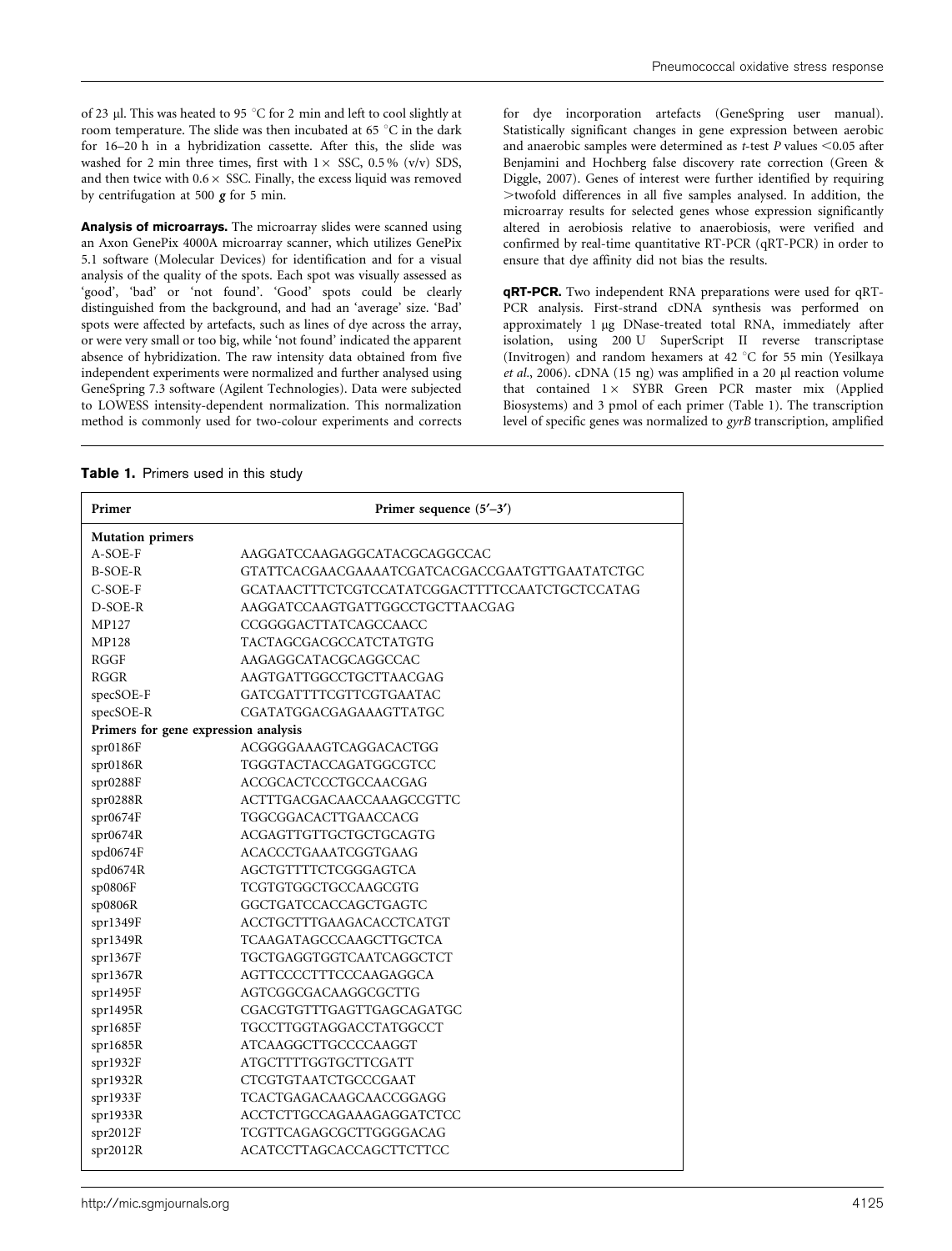of 23  $\upmu l.$  This was heated to 95  $^{\circ} \mathrm{C}$  for 2 min and left to cool slightly at room temperature. The slide was then incubated at 65  $\degree$ C in the dark for 16–20 h in a hybridization cassette. After this, the slide was washed for 2 min three times, first with  $1 \times$  SSC, 0.5 % (v/v) SDS, and then twice with  $0.6 \times$  SSC. Finally, the excess liquid was removed by centrifugation at 500 g for 5 min.

Analysis of microarrays. The microarray slides were scanned using an Axon GenePix 4000A microarray scanner, which utilizes GenePix 5.1 software (Molecular Devices) for identification and for a visual analysis of the quality of the spots. Each spot was visually assessed as 'good', 'bad' or 'not found'. 'Good' spots could be clearly distinguished from the background, and had an 'average' size. 'Bad' spots were affected by artefacts, such as lines of dye across the array, or were very small or too big, while 'not found' indicated the apparent absence of hybridization. The raw intensity data obtained from five independent experiments were normalized and further analysed using GeneSpring 7.3 software (Agilent Technologies). Data were subjected to LOWESS intensity-dependent normalization. This normalization method is commonly used for two-colour experiments and corrects

for dye incorporation artefacts (GeneSpring user manual). Statistically significant changes in gene expression between aerobic and anaerobic samples were determined as  $t$ -test  $P$  values <0.05 after Benjamini and Hochberg false discovery rate correction (Green & Diggle, 2007). Genes of interest were further identified by requiring  $>$ twofold differences in all five samples analysed. In addition, the microarray results for selected genes whose expression significantly altered in aerobiosis relative to anaerobiosis, were verified and confirmed by real-time quantitative RT-PCR (qRT-PCR) in order to ensure that dye affinity did not bias the results.

qRT-PCR. Two independent RNA preparations were used for qRT-PCR analysis. First-strand cDNA synthesis was performed on approximately 1 µg DNase-treated total RNA, immediately after isolation, using 200 U SuperScript II reverse transcriptase (Invitrogen) and random hexamers at 42  $^{\circ}$ C for 55 min (Yesilkaya et al., 2006). cDNA (15 ng) was amplified in a 20  $\mu$ l reaction volume that contained  $1 \times$  SYBR Green PCR master mix (Applied Biosystems) and 3 pmol of each primer (Table 1). The transcription level of specific genes was normalized to gyrB transcription, amplified

| Table 1. Primers used in this study |  |  |  |  |
|-------------------------------------|--|--|--|--|
|-------------------------------------|--|--|--|--|

| Primer                               | Primer sequence $(5'-3')$                      |
|--------------------------------------|------------------------------------------------|
| <b>Mutation primers</b>              |                                                |
| A-SOE-F                              | AAGGATCCAAGAGGCATACGCAGGCCAC                   |
| <b>B-SOE-R</b>                       | GTATTCACGAACGAAAATCGATCACGACCGAATGTTGAATATCTGC |
| $C-SOE-F$                            | GCATAACTTTCTCGTCCATATCGGACTTTTCCAATCTGCTCCATAG |
| D-SOE-R                              | AAGGATCCAAGTGATTGGCCTGCTTAACGAG                |
| MP127                                | CCGGGGACTTATCAGCCAACC                          |
| <b>MP128</b>                         | TACTAGCGACGCCATCTATGTG                         |
| <b>RGGF</b>                          | AAGAGGCATACGCAGGCCAC                           |
| RGGR                                 | AAGTGATTGGCCTGCTTAACGAG                        |
| specSOE-F                            | GATCGATTTTCGTTCGTGAATAC                        |
| specSOE-R                            | CGATATGGACGAGAAAGTTATGC                        |
| Primers for gene expression analysis |                                                |
| spr0186F                             | ACGGGGAAAGTCAGGACACTGG                         |
| spr0186R                             | TGGGTACTACCAGATGGCGTCC                         |
| spr0288F                             | ACCGCACTCCCTGCCAACGAG                          |
| spr0288R                             | ACTTTGACGACAACCAAAGCCGTTC                      |
| spr0674F                             | TGGCGGACACTTGAACCACG                           |
| spr0674R                             | ACGAGTTGTTGCTGCTGCAGTG                         |
| spd0674F                             | <b>ACACCCTGAAATCGGTGAAG</b>                    |
| spd0674R                             | AGCTGTTTTCTCGGGAGTCA                           |
| sp0806F                              | TCGTGTGGCTGCCAAGCGTG                           |
| sp0806R                              | GGCTGATCCACCAGCTGAGTC                          |
| spr1349F                             | ACCTGCTTTGAAGACACCTCATGT                       |
| spr1349R                             | TCAAGATAGCCCAAGCTTGCTCA                        |
| spr1367F                             | TGCTGAGGTGGTCAATCAGGCTCT                       |
| spr1367R                             | AGTTCCCCTTTCCCAAGAGGCA                         |
| spr1495F                             | AGTCGGCGACAAGGCGCTTG                           |
| spr1495R                             | CGACGTGTTTGAGTTGAGCAGATGC                      |
| spr1685F                             | TGCCTTGGTAGGACCTATGGCCT                        |
| spr1685R                             | ATCAAGGCTTGCCCCAAGGT                           |
| spr1932F                             | ATGCTTTTGGTGCTTCGATT                           |
| spr1932R                             | CTCGTGTAATCTGCCCGAAT                           |
| spr1933F                             | TCACTGAGACAAGCAACCGGAGG                        |
| spr1933R                             | ACCTCTTGCCAGAAAGAGGATCTCC                      |
| spr2012F                             | TCGTTCAGAGCGCTTGGGGACAG                        |
| spr2012R                             | ACATCCTTAGCACCAGCTTCTTCC                       |
|                                      |                                                |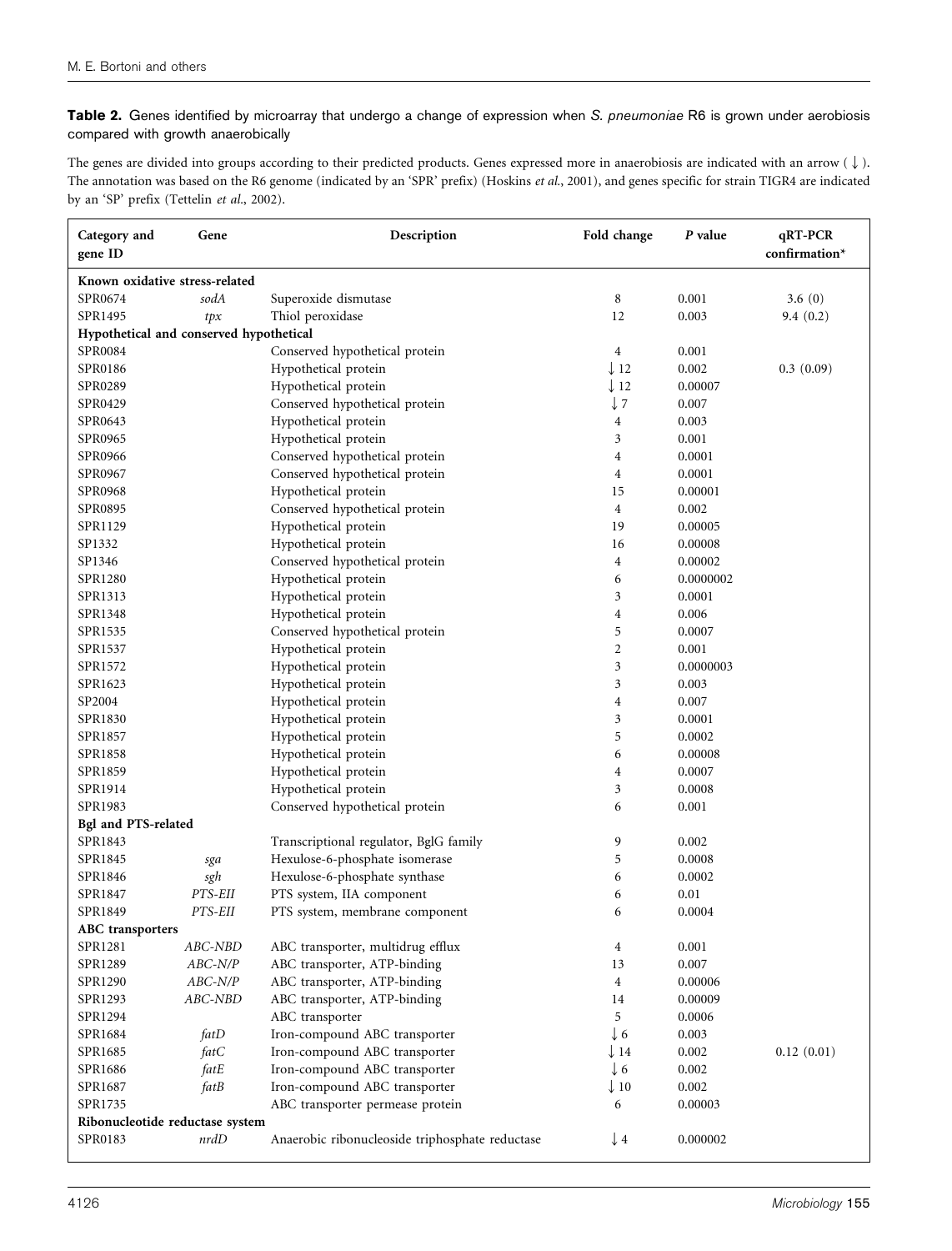Table 2. Genes identified by microarray that undergo a change of expression when S. pneumoniae R6 is grown under aerobiosis compared with growth anaerobically

The genes are divided into groups according to their predicted products. Genes expressed more in anaerobiosis are indicated with an arrow ( $\downarrow$ ). The annotation was based on the R6 genome (indicated by an 'SPR' prefix) (Hoskins et al., 2001), and genes specific for strain TIGR4 are indicated by an 'SP' prefix (Tettelin et al., 2002).

| Category and<br>gene ID                 | Gene                                                                 | Description                                     | Fold change     | P value   | qRT-PCR<br>confirmation* |
|-----------------------------------------|----------------------------------------------------------------------|-------------------------------------------------|-----------------|-----------|--------------------------|
| Known oxidative stress-related          |                                                                      |                                                 |                 |           |                          |
| SPR0674                                 | sodA                                                                 | Superoxide dismutase                            | 8               | 0.001     | 3.6(0)                   |
| SPR1495                                 | tpx                                                                  | Thiol peroxidase                                | 12              | 0.003     | 9.4(0.2)                 |
| Hypothetical and conserved hypothetical |                                                                      |                                                 |                 |           |                          |
| SPR0084                                 |                                                                      | Conserved hypothetical protein                  | $\overline{4}$  | 0.001     |                          |
| SPR0186                                 |                                                                      | Hypothetical protein                            | $\downarrow$ 12 | 0.002     | 0.3(0.09)                |
| SPR0289                                 |                                                                      | Hypothetical protein                            | $\downarrow$ 12 | 0.00007   |                          |
| SPR0429                                 |                                                                      | Conserved hypothetical protein                  | $\downarrow$ 7  | 0.007     |                          |
| SPR0643                                 |                                                                      | Hypothetical protein                            | 4               | 0.003     |                          |
| SPR0965                                 |                                                                      | Hypothetical protein                            | $\mathfrak{Z}$  | 0.001     |                          |
| SPR0966                                 |                                                                      | Conserved hypothetical protein                  | $\overline{4}$  | 0.0001    |                          |
| SPR0967                                 |                                                                      | Conserved hypothetical protein                  | $\overline{4}$  | 0.0001    |                          |
| SPR0968                                 |                                                                      | Hypothetical protein                            | 15              | 0.00001   |                          |
| SPR0895                                 |                                                                      | Conserved hypothetical protein                  | $\overline{4}$  | 0.002     |                          |
| SPR1129                                 |                                                                      | Hypothetical protein                            | 19              | 0.00005   |                          |
| SP1332                                  |                                                                      | Hypothetical protein                            | 16              | 0.00008   |                          |
| SP1346                                  |                                                                      | Conserved hypothetical protein                  | $\overline{4}$  | 0.00002   |                          |
| SPR1280                                 |                                                                      | Hypothetical protein                            | 6               | 0.0000002 |                          |
| SPR1313                                 |                                                                      | Hypothetical protein                            | 3               | 0.0001    |                          |
| SPR1348                                 |                                                                      | Hypothetical protein                            | $\overline{4}$  | 0.006     |                          |
| SPR1535                                 |                                                                      | Conserved hypothetical protein                  | 5               | 0.0007    |                          |
| SPR1537                                 |                                                                      | Hypothetical protein                            | $\overline{2}$  | 0.001     |                          |
| SPR1572                                 |                                                                      | Hypothetical protein                            | 3               | 0.0000003 |                          |
| SPR1623                                 |                                                                      | Hypothetical protein                            | 3               | 0.003     |                          |
| SP2004                                  |                                                                      | Hypothetical protein                            | $\overline{4}$  | 0.007     |                          |
| SPR1830                                 |                                                                      | Hypothetical protein                            | $\mathfrak{Z}$  | 0.0001    |                          |
| SPR1857                                 |                                                                      | Hypothetical protein                            | 5               | 0.0002    |                          |
| SPR1858                                 |                                                                      | Hypothetical protein                            | 6               | 0.00008   |                          |
| SPR1859                                 |                                                                      | Hypothetical protein                            | 4               | 0.0007    |                          |
| SPR1914                                 |                                                                      | Hypothetical protein                            | 3               | 0.0008    |                          |
| SPR1983                                 |                                                                      | Conserved hypothetical protein                  | 6               | 0.001     |                          |
| Bgl and PTS-related                     |                                                                      |                                                 |                 |           |                          |
| SPR1843                                 |                                                                      | Transcriptional regulator, BglG family          | 9               | 0.002     |                          |
| SPR1845                                 | sga                                                                  | Hexulose-6-phosphate isomerase                  | 5               | 0.0008    |                          |
| SPR1846                                 | sgh                                                                  | Hexulose-6-phosphate synthase                   | 6               | 0.0002    |                          |
| SPR1847                                 | PTS-EII                                                              | PTS system, IIA component                       | 6               | 0.01      |                          |
| SPR1849                                 | PTS-EII                                                              | PTS system, membrane component                  | 6               | 0.0004    |                          |
| <b>ABC</b> transporters                 |                                                                      |                                                 |                 |           |                          |
| SPR1281                                 | ABC-NBD                                                              | ABC transporter, multidrug efflux               | $\overline{4}$  | 0.001     |                          |
| SPR1289                                 | $\boldsymbol{ABC}\text{-}\boldsymbol{N}\boldsymbol{/}\boldsymbol{P}$ | ABC transporter, ATP-binding                    | 13              | 0.007     |                          |
| SPR1290                                 | $ABC$ -N/P                                                           | ABC transporter, ATP-binding                    | $\overline{4}$  | 0.00006   |                          |
| SPR1293                                 | ABC-NBD                                                              | ABC transporter, ATP-binding                    | 14              | 0.00009   |                          |
| SPR1294                                 |                                                                      | ABC transporter                                 | 5               | 0.0006    |                          |
| SPR1684                                 | fatD                                                                 | Iron-compound ABC transporter                   | $\downarrow$ 6  | 0.003     |                          |
| SPR1685                                 | fatC                                                                 | Iron-compound ABC transporter                   | $\downarrow$ 14 | 0.002     | 0.12(0.01)               |
| SPR1686                                 | fatE                                                                 | Iron-compound ABC transporter                   | $\downarrow$ 6  | 0.002     |                          |
| SPR1687                                 | fatB                                                                 | Iron-compound ABC transporter                   | $\downarrow$ 10 | 0.002     |                          |
| SPR1735                                 |                                                                      | ABC transporter permease protein                | 6               | 0.00003   |                          |
| Ribonucleotide reductase system         |                                                                      |                                                 |                 |           |                          |
| SPR0183                                 | nrdD                                                                 | Anaerobic ribonucleoside triphosphate reductase | $\downarrow$ 4  | 0.000002  |                          |
|                                         |                                                                      |                                                 |                 |           |                          |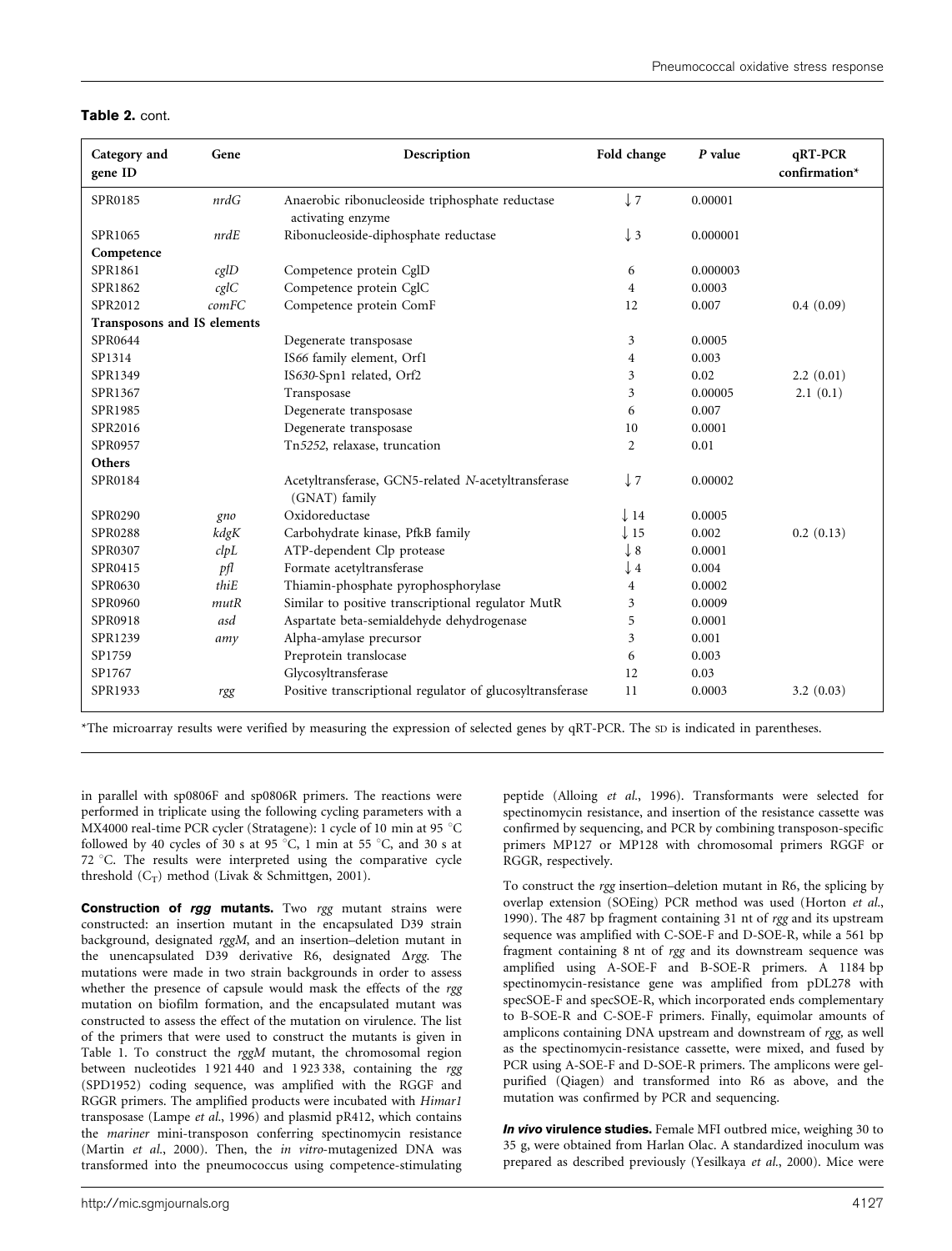#### Table 2. cont.

| Category and<br>gene ID     | Gene  | Description                                                          | Fold change     | P value  | qRT-PCR<br>confirmation* |
|-----------------------------|-------|----------------------------------------------------------------------|-----------------|----------|--------------------------|
| SPR0185                     | nrdG  | Anaerobic ribonucleoside triphosphate reductase<br>activating enzyme | $\downarrow$ 7  | 0.00001  |                          |
| SPR1065                     | nrdE  | Ribonucleoside-diphosphate reductase                                 | $\downarrow$ 3  | 0.000001 |                          |
| Competence                  |       |                                                                      |                 |          |                          |
| SPR1861                     | cglD  | Competence protein CglD                                              | 6               | 0.000003 |                          |
| SPR1862                     | cglC  | Competence protein CglC                                              | $\overline{4}$  | 0.0003   |                          |
| SPR2012                     | comFC | Competence protein ComF                                              | 12              | 0.007    | 0.4(0.09)                |
| Transposons and IS elements |       |                                                                      |                 |          |                          |
| SPR0644                     |       | Degenerate transposase                                               | 3               | 0.0005   |                          |
| SP1314                      |       | IS66 family element, Orf1                                            | 4               | 0.003    |                          |
| SPR1349                     |       | IS630-Spn1 related, Orf2                                             | 3               | 0.02     | 2.2(0.01)                |
| SPR1367                     |       | Transposase                                                          | 3               | 0.00005  | 2.1(0.1)                 |
| SPR1985                     |       | Degenerate transposase                                               | 6               | 0.007    |                          |
| SPR2016                     |       | Degenerate transposase                                               | 10              | 0.0001   |                          |
| SPR0957                     |       | Tn5252, relaxase, truncation                                         | $\overline{2}$  | 0.01     |                          |
| Others                      |       |                                                                      |                 |          |                          |
| SPR0184                     |       | Acetyltransferase, GCN5-related N-acetyltransferase<br>(GNAT) family | $\downarrow$ 7  | 0.00002  |                          |
| SPR0290                     | gno   | Oxidoreductase                                                       | $\downarrow$ 14 | 0.0005   |                          |
| SPR0288                     | kdgK  | Carbohydrate kinase, PfkB family                                     | $\downarrow$ 15 | 0.002    | 0.2(0.13)                |
| SPR0307                     | clpL  | ATP-dependent Clp protease                                           | $\downarrow$ 8  | 0.0001   |                          |
| SPR0415                     | pfl   | Formate acetyltransferase                                            | $\downarrow$ 4  | 0.004    |                          |
| SPR0630                     | thiE  | Thiamin-phosphate pyrophosphorylase                                  | $\overline{4}$  | 0.0002   |                          |
| SPR0960                     | mutR  | Similar to positive transcriptional regulator MutR                   | 3               | 0.0009   |                          |
| SPR0918                     | asd   | Aspartate beta-semialdehyde dehydrogenase                            | 5               | 0.0001   |                          |
| SPR1239                     | amy   | Alpha-amylase precursor                                              | 3               | 0.001    |                          |
| SP1759                      |       | Preprotein translocase                                               | 6               | 0.003    |                          |
| SP1767                      |       | Glycosyltransferase                                                  | 12              | 0.03     |                          |
| SPR1933                     | rgg   | Positive transcriptional regulator of glucosyltransferase            | 11              | 0.0003   | 3.2(0.03)                |

\*The microarray results were verified by measuring the expression of selected genes by qRT-PCR. The SD is indicated in parentheses.

in parallel with sp0806F and sp0806R primers. The reactions were performed in triplicate using the following cycling parameters with a MX4000 real-time PCR cycler (Stratagene): 1 cycle of 10 min at 95  $^{\circ}$ C followed by 40 cycles of 30 s at 95 °C, 1 min at 55 °C, and 30 s at 72  $\degree$ C. The results were interpreted using the comparative cycle threshold  $(C_T)$  method (Livak & Schmittgen, 2001).

Construction of rgg mutants. Two rgg mutant strains were constructed: an insertion mutant in the encapsulated D39 strain background, designated rggM, and an insertion–deletion mutant in the unencapsulated D39 derivative R6, designated  $\Delta rgg$ . The mutations were made in two strain backgrounds in order to assess whether the presence of capsule would mask the effects of the rgg mutation on biofilm formation, and the encapsulated mutant was constructed to assess the effect of the mutation on virulence. The list of the primers that were used to construct the mutants is given in Table 1. To construct the rggM mutant, the chromosomal region between nucleotides 1 921 440 and 1 923 338, containing the rgg (SPD1952) coding sequence, was amplified with the RGGF and RGGR primers. The amplified products were incubated with Himar1 transposase (Lampe et al., 1996) and plasmid pR412, which contains the mariner mini-transposon conferring spectinomycin resistance (Martin et al., 2000). Then, the in vitro-mutagenized DNA was transformed into the pneumococcus using competence-stimulating

peptide (Alloing et al., 1996). Transformants were selected for spectinomycin resistance, and insertion of the resistance cassette was confirmed by sequencing, and PCR by combining transposon-specific primers MP127 or MP128 with chromosomal primers RGGF or RGGR, respectively.

To construct the rgg insertion–deletion mutant in R6, the splicing by overlap extension (SOEing) PCR method was used (Horton et al., 1990). The 487 bp fragment containing 31 nt of rgg and its upstream sequence was amplified with C-SOE-F and D-SOE-R, while a 561 bp fragment containing 8 nt of rgg and its downstream sequence was amplified using A-SOE-F and B-SOE-R primers. A 1184 bp spectinomycin-resistance gene was amplified from pDL278 with specSOE-F and specSOE-R, which incorporated ends complementary to B-SOE-R and C-SOE-F primers. Finally, equimolar amounts of amplicons containing DNA upstream and downstream of rgg, as well as the spectinomycin-resistance cassette, were mixed, and fused by PCR using A-SOE-F and D-SOE-R primers. The amplicons were gelpurified (Qiagen) and transformed into R6 as above, and the mutation was confirmed by PCR and sequencing.

In vivo virulence studies. Female MFI outbred mice, weighing 30 to 35 g, were obtained from Harlan Olac. A standardized inoculum was prepared as described previously (Yesilkaya et al., 2000). Mice were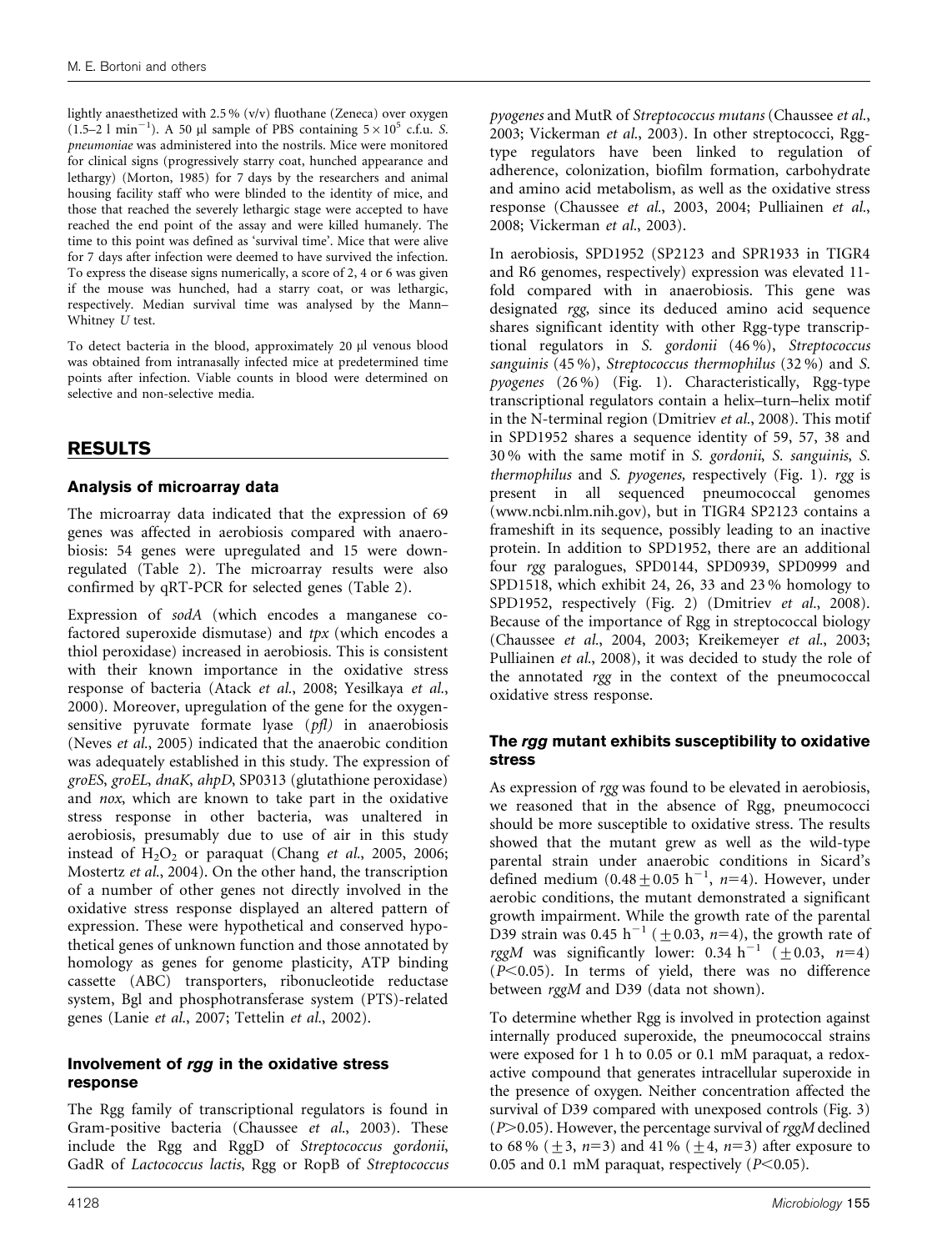lightly anaesthetized with 2.5 % (v/v) fluothane (Zeneca) over oxygen (1.5–2 l min<sup>-1</sup>). A 50 µl sample of PBS containing  $5 \times 10^5$  c.f.u. S. pneumoniae was administered into the nostrils. Mice were monitored for clinical signs (progressively starry coat, hunched appearance and lethargy) (Morton, 1985) for 7 days by the researchers and animal housing facility staff who were blinded to the identity of mice, and those that reached the severely lethargic stage were accepted to have reached the end point of the assay and were killed humanely. The time to this point was defined as 'survival time'. Mice that were alive for 7 days after infection were deemed to have survived the infection. To express the disease signs numerically, a score of 2, 4 or 6 was given if the mouse was hunched, had a starry coat, or was lethargic, respectively. Median survival time was analysed by the Mann– Whitney U test.

To detect bacteria in the blood, approximately 20 µl venous blood was obtained from intranasally infected mice at predetermined time points after infection. Viable counts in blood were determined on selective and non-selective media.

# RESULTS

### Analysis of microarray data

The microarray data indicated that the expression of 69 genes was affected in aerobiosis compared with anaerobiosis: 54 genes were upregulated and 15 were downregulated (Table 2). The microarray results were also confirmed by qRT-PCR for selected genes (Table 2).

Expression of sodA (which encodes a manganese cofactored superoxide dismutase) and tpx (which encodes a thiol peroxidase) increased in aerobiosis. This is consistent with their known importance in the oxidative stress response of bacteria (Atack et al., 2008; Yesilkaya et al., 2000). Moreover, upregulation of the gene for the oxygensensitive pyruvate formate lyase (pfl) in anaerobiosis (Neves et al., 2005) indicated that the anaerobic condition was adequately established in this study. The expression of groES, groEL, dnaK, ahpD, SP0313 (glutathione peroxidase) and nox, which are known to take part in the oxidative stress response in other bacteria, was unaltered in aerobiosis, presumably due to use of air in this study instead of  $H_2O_2$  or paraquat (Chang et al., 2005, 2006; Mostertz et al., 2004). On the other hand, the transcription of a number of other genes not directly involved in the oxidative stress response displayed an altered pattern of expression. These were hypothetical and conserved hypothetical genes of unknown function and those annotated by homology as genes for genome plasticity, ATP binding cassette (ABC) transporters, ribonucleotide reductase system, Bgl and phosphotransferase system (PTS)-related genes (Lanie et al., 2007; Tettelin et al., 2002).

### Involvement of rgg in the oxidative stress response

The Rgg family of transcriptional regulators is found in Gram-positive bacteria (Chaussee et al., 2003). These include the Rgg and RggD of Streptococcus gordonii, GadR of Lactococcus lactis, Rgg or RopB of Streptococcus

pyogenes and MutR of Streptococcus mutans (Chaussee et al., 2003; Vickerman et al., 2003). In other streptococci, Rggtype regulators have been linked to regulation of adherence, colonization, biofilm formation, carbohydrate and amino acid metabolism, as well as the oxidative stress response (Chaussee et al., 2003, 2004; Pulliainen et al., 2008; Vickerman et al., 2003).

In aerobiosis, SPD1952 (SP2123 and SPR1933 in TIGR4 and R6 genomes, respectively) expression was elevated 11 fold compared with in anaerobiosis. This gene was designated rgg, since its deduced amino acid sequence shares significant identity with other Rgg-type transcriptional regulators in S. gordonii (46 %), Streptococcus sanguinis (45 %), Streptococcus thermophilus (32 %) and S. pyogenes (26 %) (Fig. 1). Characteristically, Rgg-type transcriptional regulators contain a helix–turn–helix motif in the N-terminal region (Dmitriev et al., 2008). This motif in SPD1952 shares a sequence identity of 59, 57, 38 and 30 % with the same motif in S. gordonii, S. sanguinis, S. thermophilus and S. pyogenes, respectively (Fig. 1). rgg is present in all sequenced pneumococcal genomes (www.ncbi.nlm.nih.gov), but in TIGR4 SP2123 contains a frameshift in its sequence, possibly leading to an inactive protein. In addition to SPD1952, there are an additional four rgg paralogues, SPD0144, SPD0939, SPD0999 and SPD1518, which exhibit 24, 26, 33 and 23 % homology to SPD1952, respectively (Fig. 2) (Dmitriev et al., 2008). Because of the importance of Rgg in streptococcal biology (Chaussee et al., 2004, 2003; Kreikemeyer et al., 2003; Pulliainen et al., 2008), it was decided to study the role of the annotated rgg in the context of the pneumococcal oxidative stress response.

### The rgg mutant exhibits susceptibility to oxidative stress

As expression of rgg was found to be elevated in aerobiosis, we reasoned that in the absence of Rgg, pneumococci should be more susceptible to oxidative stress. The results showed that the mutant grew as well as the wild-type parental strain under anaerobic conditions in Sicard's defined medium  $(0.48 \pm 0.05 \text{ h}^{-1}, \text{ n=4})$ . However, under aerobic conditions, the mutant demonstrated a significant growth impairment. While the growth rate of the parental D39 strain was 0.45 h<sup>-1</sup> ( $\pm$ 0.03, n=4), the growth rate of rggM was significantly lower: 0.34 h<sup>-1</sup> ( $\pm$ 0.03, n=4)  $(P<0.05)$ . In terms of yield, there was no difference between rggM and D39 (data not shown).

To determine whether Rgg is involved in protection against internally produced superoxide, the pneumococcal strains were exposed for 1 h to 0.05 or 0.1 mM paraquat, a redoxactive compound that generates intracellular superoxide in the presence of oxygen. Neither concentration affected the survival of D39 compared with unexposed controls (Fig. 3)  $(P>0.05)$ . However, the percentage survival of rggM declined to 68% ( $\pm$ 3, n=3) and 41% ( $\pm$ 4, n=3) after exposure to 0.05 and 0.1 mM paraquat, respectively  $(P<0.05)$ .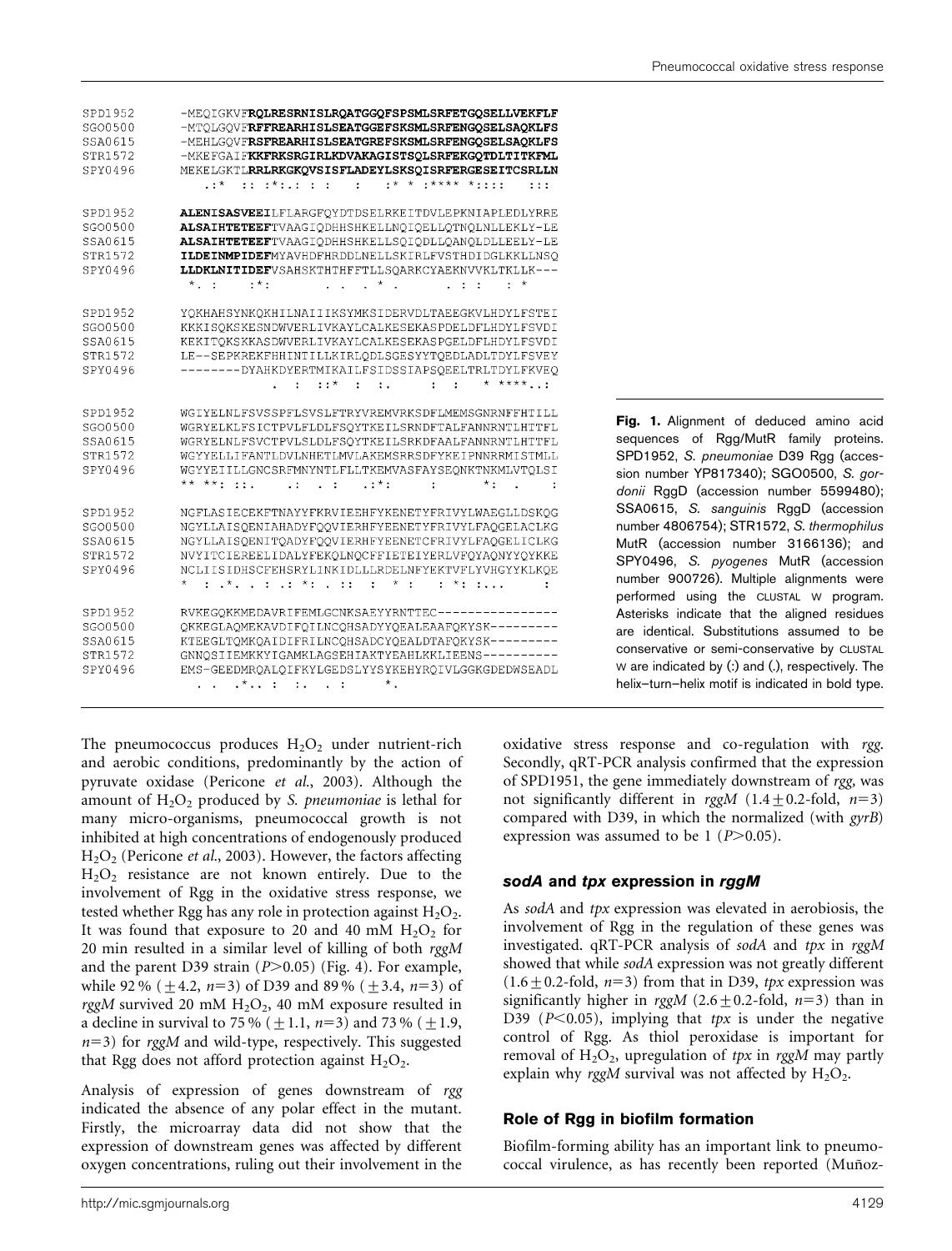| SPD1952<br>SG00500<br>SSA0615<br>STR1572<br>SPY0496 | -MEQIGKVFRQLRESRNISLRQATGGQFSPSMLSRFETGQSELLVEKFLF<br>-MTOLGOVFRFFREARHISLSEATGGEFSKSMLSRFENGQSELSAQKLFS<br>-MEHLGQVFRSFREARHISLSEATGREFSKSMLSRFENGQSELSAQKLFS<br>-MKEFGAIFKKFRKSRGIRLKDVAKAGISTSQLSRFEKGQTDLTITKFML<br>MEKELGKTLRRLRKGKQVSISFLADEYLSKSQISRFERGESEITCSRLLN                                                                                                                                                                                                                                                                                                                                                                                                                                             |
|-----------------------------------------------------|------------------------------------------------------------------------------------------------------------------------------------------------------------------------------------------------------------------------------------------------------------------------------------------------------------------------------------------------------------------------------------------------------------------------------------------------------------------------------------------------------------------------------------------------------------------------------------------------------------------------------------------------------------------------------------------------------------------------|
|                                                     | $2:5^{\times}$ , $2:2^{\times}$ , $2:2:2:3:3:3$ , $2:3:3$ , $2:3:3$ , $2:3:3$ , $2:3:3$ , $2:3:3$ , $2:3:3$ , $2:3:3$ , $2:3:3$ , $2:3:3$ , $2:3:3$ , $2:3:3$ , $2:3:3$ , $2:3:3$ , $2:3:3$ , $2:3:3$ , $2:3:3$ , $2:3:3$ , $2:3:3$ ,<br>: 1: 1                                                                                                                                                                                                                                                                                                                                                                                                                                                                        |
| SPD1952<br>SG00500<br>SSA0615<br>STR1572<br>SPY0496 | ALENISASVEEILFLARGFOYDTDSELRKEITDVLEPKNIAPLEDLYRRE<br>ALSAIHTETEEFTVAAGIQDHHSHKELLNQIQELLQTNQLNLLEKLY-LE<br>ALSAIHTETEEFTVAAGIODHHSHKELLSOIODLLOANOLDLLEELY-LE<br>ILDEINMPIDEFMYAVHDFHRDDLNELLSKIRLFVSTHDIDGLKKLLNSO<br>LLDKLNITIDEFVSAHSKTHTHFFTLLSOARKCYAEKNVVKLTKLLK---<br>$\ldots$ $\star$ .<br>$*$ , :<br>$, *$ .<br>$\star$<br>$\mathbf{r}$<br>$\mathbf{r}$<br>$2 - 2$                                                                                                                                                                                                                                                                                                                                           |
| SPD1952<br>SG00500<br>SSA0615<br>STR1572<br>SPY0496 | YQKHAHSYNKQKHILNAIIIKSYMKSIDERVDLTAEEGKVLHDYLFSTEI<br>KKKISOKSKESNDWVERLIVKAYLCALKESEKASPDELDFLHDYLFSVDI<br>KEKITOKSKKASDWVERLIVKAYLCALKESEKASPGELDFLHDYLFSVDI<br>LE--SEPKREKFHHINTILLKIRLQDLSGESYYTQEDLADLTDYLFSVEY<br>--------DYAHKDYERTMIKAILFSIDSSIAPSOEELTRLTDYLFKVEO<br>$*$ ****<br>$\mathbf{r} = \mathbf{r} + \mathbf{r} + \mathbf{r} + \mathbf{r} + \mathbf{r} + \mathbf{r} + \mathbf{r} + \mathbf{r} + \mathbf{r} + \mathbf{r} + \mathbf{r} + \mathbf{r} + \mathbf{r} + \mathbf{r} + \mathbf{r} + \mathbf{r} + \mathbf{r} + \mathbf{r} + \mathbf{r} + \mathbf{r} + \mathbf{r} + \mathbf{r} + \mathbf{r} + \mathbf{r} + \mathbf{r} + \mathbf{r} + \mathbf{r} + \mathbf{r} + \mathbf{r} + \mathbf{r} + \mathbf$ |
| SPD1952<br>SG00500<br>SSA0615<br>STR1572<br>SPY0496 | WGIYELNLFSVSSPFLSVSLFTRYVREMVRKSDFLMEMSGNRNFFHTILL<br>WGRYELKLFSICTPVLFLDLFSOYTKEILSRNDFTALFANNRNTLHTTFL<br>WGRYELNLFSVCTPVLSLDLFSOYTKEILSRKDFAALFANNRNTLHTTFL<br>WGYYELLIFANTLDVLNHETLMVLAKEMSRRSDFYKEIPNNRRMISTMLL<br>WGYYEIILLGNCSRFMNYNTLFLLTKEMVASFAYSEONKTNKMLVTOLSI<br>** **: ::.<br>1: 1: 1: 1: 1<br>$^{\star}$ :<br><b>Contractor</b><br>$\cdot$<br>$\sim$                                                                                                                                                                                                                                                                                                                                                    |
| SPD1952<br>SG00500<br>SSA0615<br>STR1572<br>SPY0496 | NGFLASIECEKFTNAYYFKRVIEEHFYKENETYFRIVYLWAEGLLDSKOG<br>NGYLLAISOENIAHADYFOOVIERHFYEENETYFRIVYLFAOGELACLKG<br>NGYLLAISQENITQADYFQQVIERHFYEENETCFRIVYLFAQGELICLKG<br>NVYITCIEREELIDALYFEKQLNQCFFIETEIYERLVFQYAQNYYQYKKE<br>NCLIISIDHSCFEHSRYLINKIDLLLRDELNFYEKTVFLYVHGYYKLKOE<br>$\frac{1}{2}$ : $\frac{1}{2}$ , $\frac{1}{2}$ , $\frac{1}{2}$ , $\frac{1}{2}$ , $\frac{1}{2}$ , $\frac{1}{2}$ , $\frac{1}{2}$ , $\frac{1}{2}$ , $\frac{1}{2}$ , $\frac{1}{2}$ , $\frac{1}{2}$ , $\frac{1}{2}$ , $\frac{1}{2}$ , $\frac{1}{2}$ , $\frac{1}{2}$ , $\frac{1}{2}$ , $\frac{1}{2}$ , $\frac{1$<br>*<br>÷                                                                                                                      |
| SPD1952<br>SG00500<br>SSA0615<br>STR1572<br>SPY0496 | RVKEGQKKMEDAVRIFEMLGCNKSAEYYRNTTEC----------------<br>QKKEGLAQMEKAVDIFQILNCQHSADYYQEALEAAFQKYSK---------<br>KTEEGLTOMKOAIDIFRILNCOHSADCYOEALDTAFOKYSK---------<br>GNNOSIIEMKKYIGAMKLAGSEHIAKTYEAHLKKLIEENS--------<br>EMS-GEEDMROALOIFKYLGEDSLYYSYKEHYROIVLGGKGDEDWSEADL<br>$\ldots$ $\ldots$ $\ldots$ $\ldots$ $\ldots$<br>$^\star$ .                                                                                                                                                                                                                                                                                                                                                                                 |

Fig. 1. Alignment of deduced amino acid sequences of Rgg/MutR family proteins. SPD1952, S. pneumoniae D39 Rgg (accession number YP817340); SGO0500, S. gordonii RggD (accession number 5599480); SSA0615, S. sanguinis RggD (accession number 4806754); STR1572, S. thermophilus MutR (accession number 3166136); and SPY0496, S. pyogenes MutR (accession number 900726). Multiple alignments were performed using the CLUSTAL W program. Asterisks indicate that the aligned residues are identical. Substitutions assumed to be conservative or semi-conservative by CLUSTAL W are indicated by (:) and (.), respectively. The helix–turn–helix motif is indicated in bold type.

The pneumococcus produces  $H_2O_2$  under nutrient-rich and aerobic conditions, predominantly by the action of pyruvate oxidase (Pericone et al., 2003). Although the amount of  $H_2O_2$  produced by S. pneumoniae is lethal for many micro-organisms, pneumococcal growth is not inhibited at high concentrations of endogenously produced  $H<sub>2</sub>O<sub>2</sub>$  (Pericone *et al.*, 2003). However, the factors affecting  $H<sub>2</sub>O<sub>2</sub>$  resistance are not known entirely. Due to the involvement of Rgg in the oxidative stress response, we tested whether Rgg has any role in protection against  $H_2O_2$ . It was found that exposure to 20 and 40 mM  $H_2O_2$  for 20 min resulted in a similar level of killing of both  $rggM$ and the parent D39 strain  $(P>0.05)$  (Fig. 4). For example, while 92 % ( $\pm$ 4.2, n=3) of D39 and 89 % ( $\pm$ 3.4, n=3) of rggM survived 20 mM  $H_2O_2$ , 40 mM exposure resulted in a decline in survival to 75 % ( $\pm$ 1.1, n=3) and 73 % ( $\pm$ 1.9,  $n=3$ ) for rggM and wild-type, respectively. This suggested that Rgg does not afford protection against  $H_2O_2$ .

Analysis of expression of genes downstream of rgg indicated the absence of any polar effect in the mutant. Firstly, the microarray data did not show that the expression of downstream genes was affected by different oxygen concentrations, ruling out their involvement in the oxidative stress response and co-regulation with rgg. Secondly, qRT-PCR analysis confirmed that the expression of SPD1951, the gene immediately downstream of rgg, was not significantly different in rggM  $(1.4 \pm 0.2 \text{-} \text{fold}, n=3)$ compared with D39, in which the normalized (with gyrB) expression was assumed to be 1 ( $P > 0.05$ ).

### sodA and tpx expression in rggM

As sodA and tpx expression was elevated in aerobiosis, the involvement of Rgg in the regulation of these genes was investigated. qRT-PCR analysis of sodA and tpx in rggM showed that while sodA expression was not greatly different  $(1.6 \pm 0.2\text{-fold}, n=3)$  from that in D39, tpx expression was significantly higher in rggM (2.6  $\pm$  0.2-fold, n=3) than in D39 ( $P<0.05$ ), implying that tpx is under the negative control of Rgg. As thiol peroxidase is important for removal of  $H_2O_2$ , upregulation of tpx in rggM may partly explain why rggM survival was not affected by  $H_2O_2$ .

### Role of Rgg in biofilm formation

Biofilm-forming ability has an important link to pneumococcal virulence, as has recently been reported (Muñoz-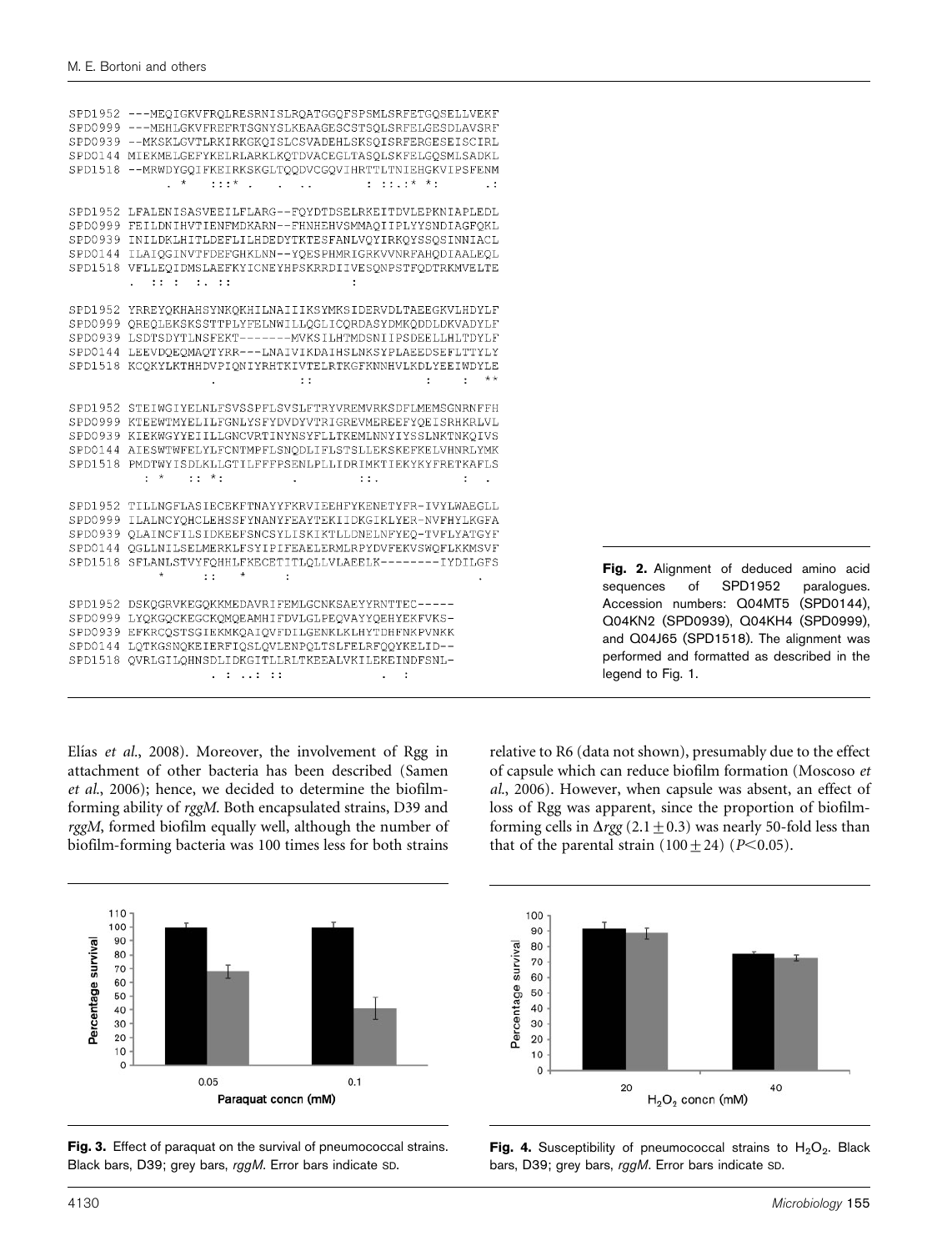| SPD1952 | ---MEQIGKVFRQLRESRNISLRQATGGQFSPSMLSRFETGQSELLVEKF                       |  |
|---------|--------------------------------------------------------------------------|--|
| SPD0999 | ---MEHLGKVFREFRTSGNYSLKEAAGESCSTSQLSRFELGESDLAVSRF                       |  |
| SPD0939 | --MKSKLGVTLRKIRKGKOISLCSVADEHLSKSOISRFERGESEISCIRL                       |  |
| SPD0144 | MIEKMELGEFYKELRLARKLKOTDVACEGLTASOLSKFELGOSMLSADKL                       |  |
| SPD1518 | --MRWDYGOIFKEIRKSKGLTOODVCGOVIHRTTLTNIEHGKVIPSFENM                       |  |
|         | $^\star$<br>$: : *$ .<br>$:  : * * :$<br>$\ddot{\phantom{0}}$            |  |
| SPD1952 | LFALENISASVEEILFLARG--FOYDTDSELRKEITDVLEPKNIAPLEDL                       |  |
| SPD0999 | FEILDNIHVTIENFMDKARN--FHNHEHVSMMAQIIPLYYSNDIAGFQKL                       |  |
| SPD0939 | INILDKLHITLDEFLILHDEDYTKTESFANLVOYIRKQYSSQSINNIACL                       |  |
| SPD0144 | ILAIQGINVTFDEFGHKLNN--YQESPHMRIGRKVVNRFAHQDIAALEQL                       |  |
| SPD1518 | VFLLEQIDMSLAEFKYICNEYHPSKRRDIIVESQNPSTFQDTRKMVELTE                       |  |
|         | 1.111<br>$\ldots$ : $\ldots$ :                                           |  |
|         |                                                                          |  |
| SPD1952 | YRREYQKHAHSYNKQKHILNAIIIKSYMKSIDERVDLTAEEGKVLHDYLF                       |  |
| SPD0999 | OREOLEKSKSSTTPLYFELNWILLOGLICORDASYDMKODDLDKVADYLF                       |  |
| SPD0939 | LSDTSDYTLNSFEKT-------MVKSILHTMDSNIIPSDEELLHLTDYLF                       |  |
| SPD0144 | LEEVDOEOMAOTYRR---LNAIVIKDAIHSLNKSYPLAEEDSEFLTTYLY                       |  |
| SPD1518 | KCQKYLKTHHDVPIQNIYRHTKIVTELRTKGFKNNHVLKDLYEEIWDYLE                       |  |
|         | $* *$<br>÷<br>$\vdots$                                                   |  |
| SPD1952 | STEIWGIYELNLFSVSSPFLSVSLFTRYVREMVRKSDFLMEMSGNRNFFH                       |  |
| SPD0999 | KTEEWTMYELILFGNLYSFYDVDYVTRIGREVMEREEFYOEISRHKRLVL                       |  |
| SPD0939 | KIEKWGYYEIILLGNCVRTINYNSYFLLTKEMLNNYIYSSLNKTNKOIVS                       |  |
| SPD0144 | AIESWTWFELYLFCNTMPFLSNODLIFLSTSLLEKSKEFKELVHNRLYMK                       |  |
| SPD1518 | PMDTWYISDLKLLGTILFFFPSENLPLLIDRIMKTIEKYKYFRETKAFLS                       |  |
|         | $\cdot$ *<br>$\cdots$ $\cdots$<br>$\mathbb{R}^n$ .                       |  |
|         |                                                                          |  |
| SPD1952 | TILLNGFLASIECEKFTNAYYFKRVIEEHFYKENETYFR-IVYLWAEGLL                       |  |
| SPD0999 | ILALNCYOHCLEHSSFYNANYFEAYTEKIIDKGIKLYER-NVFHYLKGFA                       |  |
| SPD0939 | OLAINCFILSIDKEEFSNCSYLISKIKTLLDNELNFYEO-TVFLYATGYF                       |  |
| SPD0144 | QGLLNILSELMERKLFSYIPIFEAELERMLRPYDVFEKVSWQFLKKMSVF                       |  |
| SPD1518 | SFLANLSTVYFOHHLFKECETITLOLLVLAEELK--------IYDILGFS<br>$\star$<br>$\star$ |  |
|         | $\mathbf{r}$<br>÷                                                        |  |
| SPD1952 | DSKOGRVKEGOKKMEDAVRIFEMLGCNKSAEYYRNTTEC-----                             |  |
| SPD0999 | LYOKGOCKEGCKOMOEAMHIFDVLGLPEOVAYYOEHYEKFVKS-                             |  |
| SPD0939 | EFKRCOSTSGIEKMKOAIOVFDILGENKLKLHYTDHFNKPVNKK                             |  |
| SPD0144 | LQTKGSNQKEIERFIQSLQVLENPQLTSLFELRFQQYKELID--                             |  |
| SPD1518 | OVRLGILOHNSDLIDKGITLLRLTKEEALVKILEKEINDFSNL-                             |  |
|         | .<br>÷                                                                   |  |
|         |                                                                          |  |

Fig. 2. Alignment of deduced amino acid sequences of SPD1952 paralogues. Accession numbers: Q04MT5 (SPD0144), Q04KN2 (SPD0939), Q04KH4 (SPD0999), and Q04J65 (SPD1518). The alignment was performed and formatted as described in the legend to Fig. 1.

Elías et al., 2008). Moreover, the involvement of Rgg in attachment of other bacteria has been described (Samen et al., 2006); hence, we decided to determine the biofilmforming ability of rggM. Both encapsulated strains, D39 and rggM, formed biofilm equally well, although the number of biofilm-forming bacteria was 100 times less for both strains









Fig. 4. Susceptibility of pneumococcal strains to  $H_2O_2$ . Black bars, D39; grey bars, rggM. Error bars indicate SD.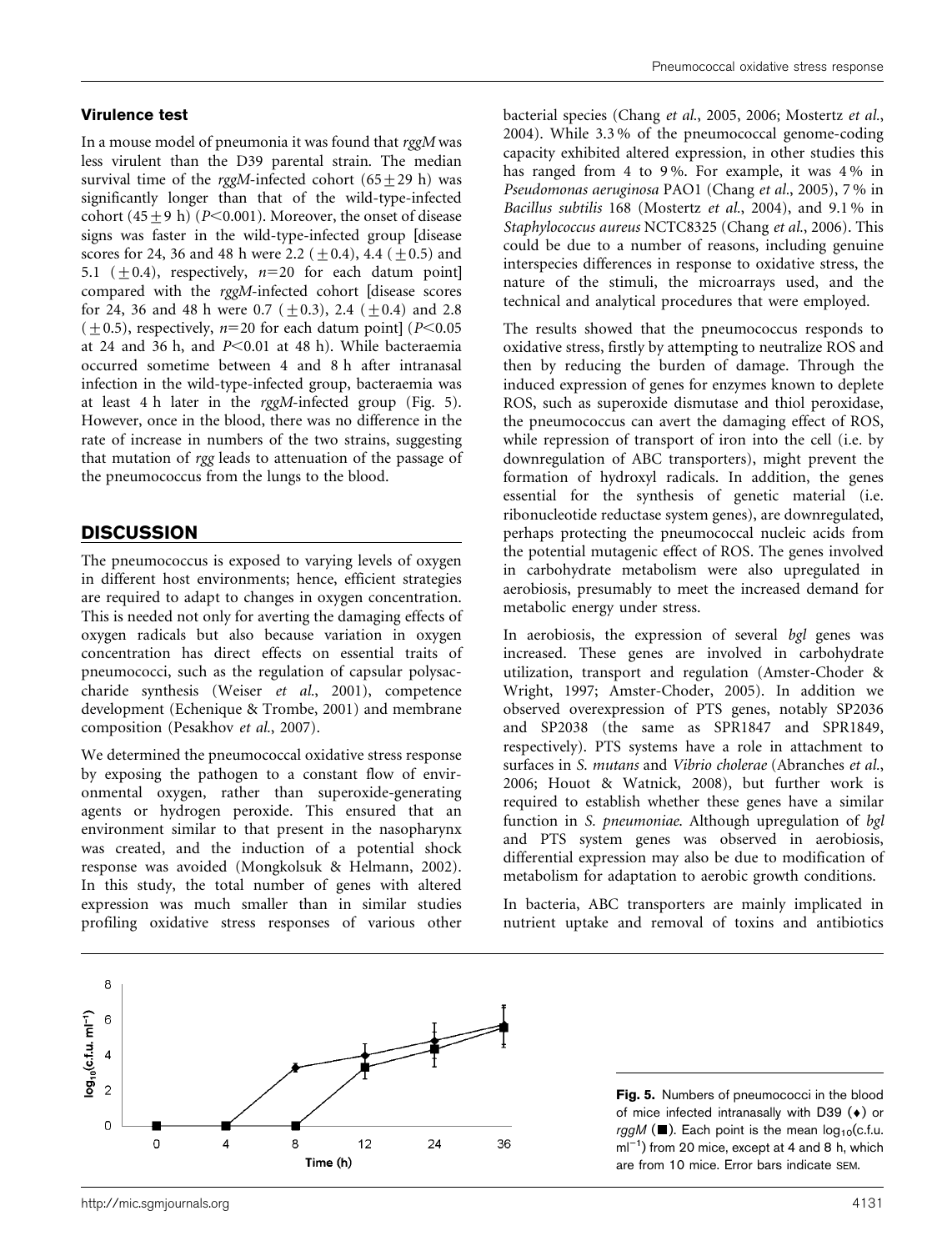#### Virulence test

In a mouse model of pneumonia it was found that rggM was less virulent than the D39 parental strain. The median survival time of the rggM-infected cohort  $(65+29 h)$  was significantly longer than that of the wild-type-infected cohort  $(45+9 \text{ h})$  (P<0.001). Moreover, the onset of disease signs was faster in the wild-type-infected group [disease scores for 24, 36 and 48 h were 2.2 ( $\pm$ 0.4), 4.4 ( $\pm$ 0.5) and 5.1 ( $\pm$ 0.4), respectively,  $n=20$  for each datum point] compared with the rggM-infected cohort [disease scores for 24, 36 and 48 h were 0.7 ( $\pm$ 0.3), 2.4 ( $\pm$ 0.4) and 2.8  $(\pm 0.5)$ , respectively, n=20 for each datum point] (P<0.05) at 24 and 36 h, and  $P<0.01$  at 48 h). While bacteraemia occurred sometime between 4 and 8 h after intranasal infection in the wild-type-infected group, bacteraemia was at least 4 h later in the rggM-infected group (Fig. 5). However, once in the blood, there was no difference in the rate of increase in numbers of the two strains, suggesting that mutation of rgg leads to attenuation of the passage of the pneumococcus from the lungs to the blood.

### **DISCUSSION**

The pneumococcus is exposed to varying levels of oxygen in different host environments; hence, efficient strategies are required to adapt to changes in oxygen concentration. This is needed not only for averting the damaging effects of oxygen radicals but also because variation in oxygen concentration has direct effects on essential traits of pneumococci, such as the regulation of capsular polysaccharide synthesis (Weiser et al., 2001), competence development (Echenique & Trombe, 2001) and membrane composition (Pesakhov et al., 2007).

We determined the pneumococcal oxidative stress response by exposing the pathogen to a constant flow of environmental oxygen, rather than superoxide-generating agents or hydrogen peroxide. This ensured that an environment similar to that present in the nasopharynx was created, and the induction of a potential shock response was avoided (Mongkolsuk & Helmann, 2002). In this study, the total number of genes with altered expression was much smaller than in similar studies profiling oxidative stress responses of various other

bacterial species (Chang et al., 2005, 2006; Mostertz et al., 2004). While 3.3 % of the pneumococcal genome-coding capacity exhibited altered expression, in other studies this has ranged from 4 to 9 %. For example, it was 4 % in Pseudomonas aeruginosa PAO1 (Chang et al., 2005), 7 % in Bacillus subtilis 168 (Mostertz et al., 2004), and 9.1 % in Staphylococcus aureus NCTC8325 (Chang et al., 2006). This could be due to a number of reasons, including genuine interspecies differences in response to oxidative stress, the nature of the stimuli, the microarrays used, and the technical and analytical procedures that were employed.

The results showed that the pneumococcus responds to oxidative stress, firstly by attempting to neutralize ROS and then by reducing the burden of damage. Through the induced expression of genes for enzymes known to deplete ROS, such as superoxide dismutase and thiol peroxidase, the pneumococcus can avert the damaging effect of ROS, while repression of transport of iron into the cell (i.e. by downregulation of ABC transporters), might prevent the formation of hydroxyl radicals. In addition, the genes essential for the synthesis of genetic material (i.e. ribonucleotide reductase system genes), are downregulated, perhaps protecting the pneumococcal nucleic acids from the potential mutagenic effect of ROS. The genes involved in carbohydrate metabolism were also upregulated in aerobiosis, presumably to meet the increased demand for metabolic energy under stress.

In aerobiosis, the expression of several bgl genes was increased. These genes are involved in carbohydrate utilization, transport and regulation (Amster-Choder & Wright, 1997; Amster-Choder, 2005). In addition we observed overexpression of PTS genes, notably SP2036 and SP2038 (the same as SPR1847 and SPR1849, respectively). PTS systems have a role in attachment to surfaces in S. mutans and Vibrio cholerae (Abranches et al., 2006; Houot & Watnick, 2008), but further work is required to establish whether these genes have a similar function in S. pneumoniae. Although upregulation of bgl and PTS system genes was observed in aerobiosis, differential expression may also be due to modification of metabolism for adaptation to aerobic growth conditions.

In bacteria, ABC transporters are mainly implicated in nutrient uptake and removal of toxins and antibiotics



Fig. 5. Numbers of pneumococci in the blood of mice infected intranasally with D39 (*¤*) or  $rggM$  ( $\blacksquare$ ). Each point is the mean  $log_{10}(c.f.u.)$  $ml^{-1}$ ) from 20 mice, except at 4 and 8 h, which are from 10 mice. Error bars indicate SEM.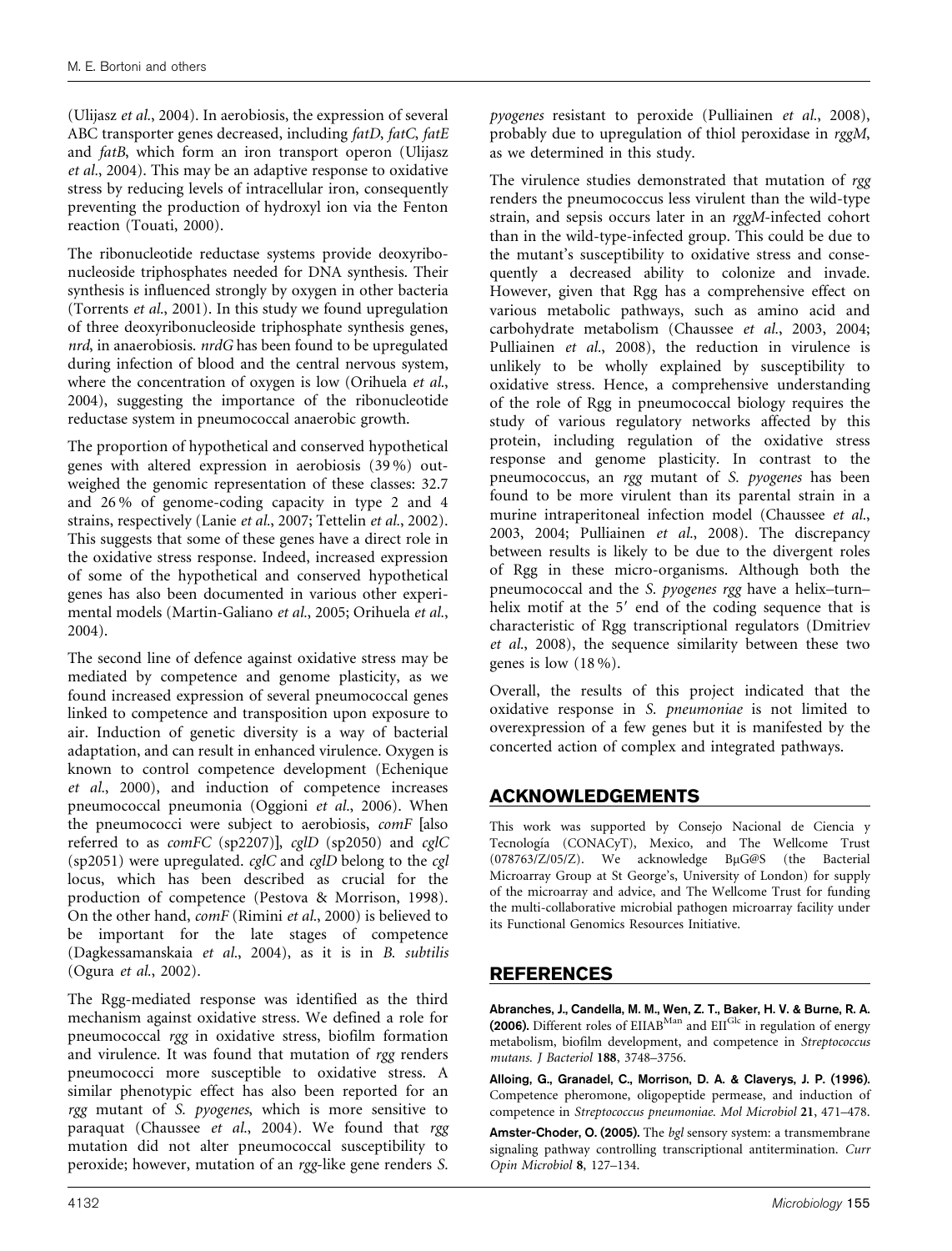(Ulijasz et al., 2004). In aerobiosis, the expression of several ABC transporter genes decreased, including fatD, fatC, fatE and fatB, which form an iron transport operon (Ulijasz et al., 2004). This may be an adaptive response to oxidative stress by reducing levels of intracellular iron, consequently preventing the production of hydroxyl ion via the Fenton reaction (Touati, 2000).

The ribonucleotide reductase systems provide deoxyribonucleoside triphosphates needed for DNA synthesis. Their synthesis is influenced strongly by oxygen in other bacteria (Torrents et al., 2001). In this study we found upregulation of three deoxyribonucleoside triphosphate synthesis genes, nrd, in anaerobiosis. nrdG has been found to be upregulated during infection of blood and the central nervous system, where the concentration of oxygen is low (Orihuela et al., 2004), suggesting the importance of the ribonucleotide reductase system in pneumococcal anaerobic growth.

The proportion of hypothetical and conserved hypothetical genes with altered expression in aerobiosis (39 %) outweighed the genomic representation of these classes: 32.7 and 26 % of genome-coding capacity in type 2 and 4 strains, respectively (Lanie et al., 2007; Tettelin et al., 2002). This suggests that some of these genes have a direct role in the oxidative stress response. Indeed, increased expression of some of the hypothetical and conserved hypothetical genes has also been documented in various other experimental models (Martin-Galiano et al., 2005; Orihuela et al., 2004).

The second line of defence against oxidative stress may be mediated by competence and genome plasticity, as we found increased expression of several pneumococcal genes linked to competence and transposition upon exposure to air. Induction of genetic diversity is a way of bacterial adaptation, and can result in enhanced virulence. Oxygen is known to control competence development (Echenique et al., 2000), and induction of competence increases pneumococcal pneumonia (Oggioni et al., 2006). When the pneumococci were subject to aerobiosis, comF [also referred to as comFC (sp2207)], cglD (sp2050) and cglC (sp2051) were upregulated.  $cglC$  and  $cglD$  belong to the  $cgl$ locus, which has been described as crucial for the production of competence (Pestova & Morrison, 1998). On the other hand, comF (Rimini et al., 2000) is believed to be important for the late stages of competence (Dagkessamanskaia et al., 2004), as it is in B. subtilis (Ogura et al., 2002).

The Rgg-mediated response was identified as the third mechanism against oxidative stress. We defined a role for pneumococcal rgg in oxidative stress, biofilm formation and virulence. It was found that mutation of rgg renders pneumococci more susceptible to oxidative stress. A similar phenotypic effect has also been reported for an rgg mutant of S. pyogenes, which is more sensitive to paraquat (Chaussee et al., 2004). We found that rgg mutation did not alter pneumococcal susceptibility to peroxide; however, mutation of an rgg-like gene renders S.

pyogenes resistant to peroxide (Pulliainen et al., 2008), probably due to upregulation of thiol peroxidase in rggM, as we determined in this study.

The virulence studies demonstrated that mutation of rgg renders the pneumococcus less virulent than the wild-type strain, and sepsis occurs later in an rggM-infected cohort than in the wild-type-infected group. This could be due to the mutant's susceptibility to oxidative stress and consequently a decreased ability to colonize and invade. However, given that Rgg has a comprehensive effect on various metabolic pathways, such as amino acid and carbohydrate metabolism (Chaussee et al., 2003, 2004; Pulliainen et al., 2008), the reduction in virulence is unlikely to be wholly explained by susceptibility to oxidative stress. Hence, a comprehensive understanding of the role of Rgg in pneumococcal biology requires the study of various regulatory networks affected by this protein, including regulation of the oxidative stress response and genome plasticity. In contrast to the pneumococcus, an rgg mutant of S. pyogenes has been found to be more virulent than its parental strain in a murine intraperitoneal infection model (Chaussee et al., 2003, 2004; Pulliainen et al., 2008). The discrepancy between results is likely to be due to the divergent roles of Rgg in these micro-organisms. Although both the pneumococcal and the S. pyogenes rgg have a helix–turn– helix motif at the 5' end of the coding sequence that is characteristic of Rgg transcriptional regulators (Dmitriev et al., 2008), the sequence similarity between these two genes is low (18 %).

Overall, the results of this project indicated that the oxidative response in S. pneumoniae is not limited to overexpression of a few genes but it is manifested by the concerted action of complex and integrated pathways.

## ACKNOWLEDGEMENTS

This work was supported by Consejo Nacional de Ciencia y Tecnología (CONACyT), Mexico, and The Wellcome Trust  $(078763/Z/05/Z)$ . We acknowledge BuG@S (the Bacterial Microarray Group at St George's, University of London) for supply of the microarray and advice, and The Wellcome Trust for funding the multi-collaborative microbial pathogen microarray facility under its Functional Genomics Resources Initiative.

## REFERENCES

Abranches, J., Candella, M. M., Wen, Z. T., Baker, H. V. & Burne, R. A. (2006). Different roles of EIIAB<sup>Man</sup> and EII<sup>Glc</sup> in regulation of energy metabolism, biofilm development, and competence in Streptococcus mutans. J Bacteriol 188, 3748–3756.

Alloing, G., Granadel, C., Morrison, D. A. & Claverys, J. P. (1996). Competence pheromone, oligopeptide permease, and induction of competence in Streptococcus pneumoniae. Mol Microbiol 21, 471–478.

Amster-Choder, O. (2005). The bgl sensory system: a transmembrane signaling pathway controlling transcriptional antitermination. Curr Opin Microbiol 8, 127–134.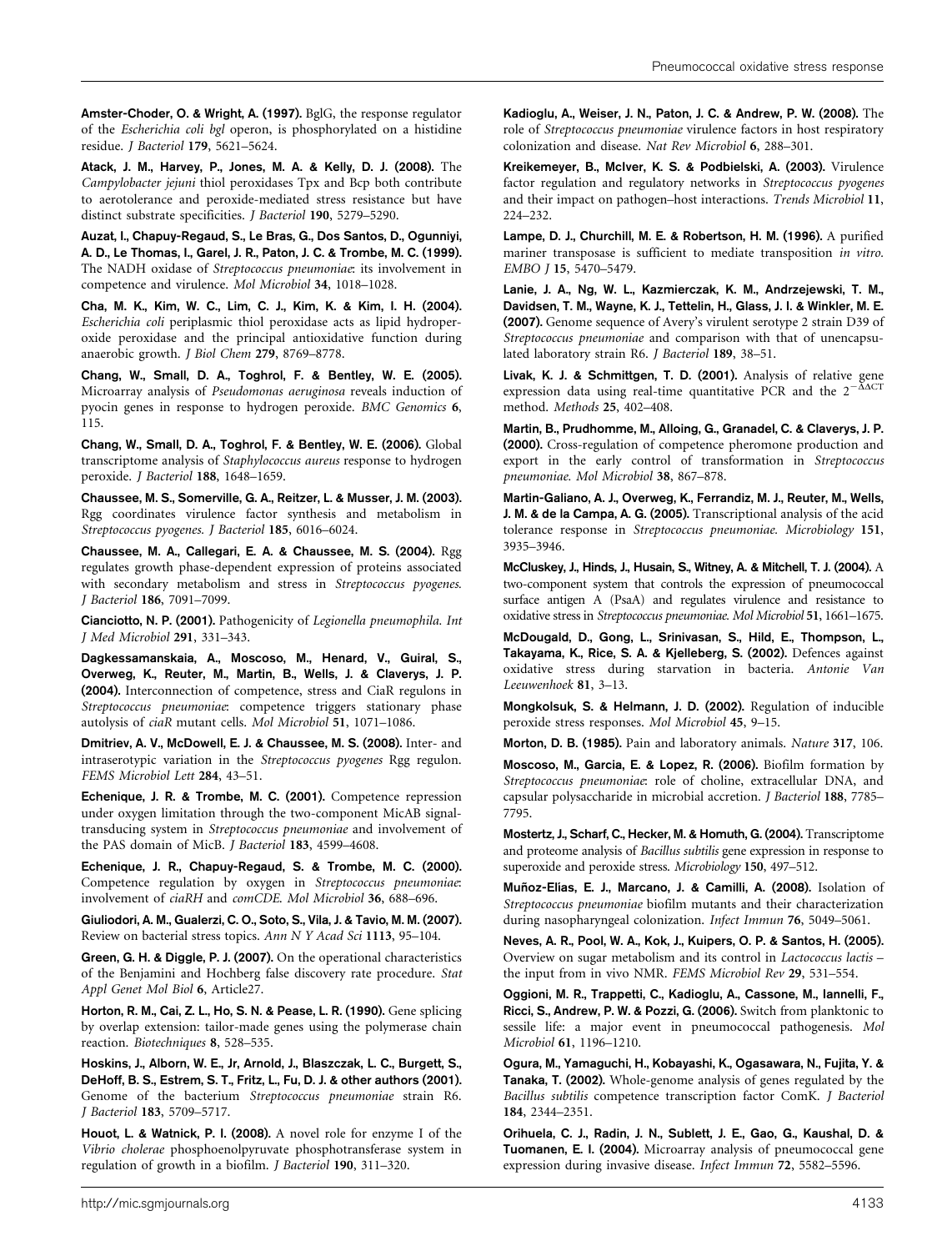Amster-Choder, O. & Wright, A. (1997). BglG, the response regulator of the Escherichia coli bgl operon, is phosphorylated on a histidine residue. J Bacteriol 179, 5621–5624.

Atack, J. M., Harvey, P., Jones, M. A. & Kelly, D. J. (2008). The Campylobacter jejuni thiol peroxidases Tpx and Bcp both contribute to aerotolerance and peroxide-mediated stress resistance but have distinct substrate specificities. J Bacteriol 190, 5279–5290.

Auzat, I., Chapuy-Regaud, S., Le Bras, G., Dos Santos, D., Ogunniyi, A. D., Le Thomas, I., Garel, J. R., Paton, J. C. & Trombe, M. C. (1999). The NADH oxidase of Streptococcus pneumoniae: its involvement in competence and virulence. Mol Microbiol 34, 1018–1028.

Cha, M. K., Kim, W. C., Lim, C. J., Kim, K. & Kim, I. H. (2004). Escherichia coli periplasmic thiol peroxidase acts as lipid hydroperoxide peroxidase and the principal antioxidative function during anaerobic growth. J Biol Chem 279, 8769–8778.

Chang, W., Small, D. A., Toghrol, F. & Bentley, W. E. (2005). Microarray analysis of Pseudomonas aeruginosa reveals induction of pyocin genes in response to hydrogen peroxide. BMC Genomics 6, 115.

Chang, W., Small, D. A., Toghrol, F. & Bentley, W. E. (2006). Global transcriptome analysis of Staphylococcus aureus response to hydrogen peroxide. J Bacteriol 188, 1648–1659.

Chaussee, M. S., Somerville, G. A., Reitzer, L. & Musser, J. M. (2003). Rgg coordinates virulence factor synthesis and metabolism in Streptococcus pyogenes. J Bacteriol 185, 6016–6024.

Chaussee, M. A., Callegari, E. A. & Chaussee, M. S. (2004). Rgg regulates growth phase-dependent expression of proteins associated with secondary metabolism and stress in Streptococcus pyogenes. J Bacteriol 186, 7091–7099.

Cianciotto, N. P. (2001). Pathogenicity of Legionella pneumophila. Int J Med Microbiol 291, 331–343.

Dagkessamanskaia, A., Moscoso, M., Henard, V., Guiral, S., Overweg, K., Reuter, M., Martin, B., Wells, J. & Claverys, J. P. (2004). Interconnection of competence, stress and CiaR regulons in Streptococcus pneumoniae: competence triggers stationary phase autolysis of ciaR mutant cells. Mol Microbiol 51, 1071–1086.

Dmitriev, A. V., McDowell, E. J. & Chaussee, M. S. (2008). Inter- and intraserotypic variation in the Streptococcus pyogenes Rgg regulon. FEMS Microbiol Lett 284, 43–51.

Echenique, J. R. & Trombe, M. C. (2001). Competence repression under oxygen limitation through the two-component MicAB signaltransducing system in Streptococcus pneumoniae and involvement of the PAS domain of MicB. J Bacteriol 183, 4599–4608.

Echenique, J. R., Chapuy-Regaud, S. & Trombe, M. C. (2000). Competence regulation by oxygen in Streptococcus pneumoniae: involvement of ciaRH and comCDE. Mol Microbiol 36, 688–696.

Giuliodori, A. M., Gualerzi, C. O., Soto, S., Vila, J. & Tavio, M. M. (2007). Review on bacterial stress topics. Ann N Y Acad Sci 1113, 95–104.

Green, G. H. & Diggle, P. J. (2007). On the operational characteristics of the Benjamini and Hochberg false discovery rate procedure. Stat Appl Genet Mol Biol 6, Article27.

Horton, R. M., Cai, Z. L., Ho, S. N. & Pease, L. R. (1990). Gene splicing by overlap extension: tailor-made genes using the polymerase chain reaction. Biotechniques 8, 528–535.

Hoskins, J., Alborn, W. E., Jr, Arnold, J., Blaszczak, L. C., Burgett, S., DeHoff, B. S., Estrem, S. T., Fritz, L., Fu, D. J. & other authors (2001). Genome of the bacterium Streptococcus pneumoniae strain R6. J Bacteriol 183, 5709–5717.

Houot, L. & Watnick, P. I. (2008). A novel role for enzyme I of the Vibrio cholerae phosphoenolpyruvate phosphotransferase system in regulation of growth in a biofilm. J Bacteriol 190, 311–320.

Kadioglu, A., Weiser, J. N., Paton, J. C. & Andrew, P. W. (2008). The role of Streptococcus pneumoniae virulence factors in host respiratory colonization and disease. Nat Rev Microbiol 6, 288–301.

Kreikemeyer, B., McIver, K. S. & Podbielski, A. (2003). Virulence factor regulation and regulatory networks in Streptococcus pyogenes and their impact on pathogen–host interactions. Trends Microbiol 11, 224–232.

Lampe, D. J., Churchill, M. E. & Robertson, H. M. (1996). A purified mariner transposase is sufficient to mediate transposition in vitro. EMBO J 15, 5470–5479.

Lanie, J. A., Ng, W. L., Kazmierczak, K. M., Andrzejewski, T. M., Davidsen, T. M., Wayne, K. J., Tettelin, H., Glass, J. I. & Winkler, M. E. (2007). Genome sequence of Avery's virulent serotype 2 strain D39 of Streptococcus pneumoniae and comparison with that of unencapsulated laboratory strain R6. J Bacteriol 189, 38–51.

Livak, K. J. & Schmittgen, T. D. (2001). Analysis of relative gene expression data using real-time quantitative PCR and the  $2^{-\Delta\Delta CT}$ method. Methods 25, 402–408.

Martin, B., Prudhomme, M., Alloing, G., Granadel, C. & Claverys, J. P. (2000). Cross-regulation of competence pheromone production and export in the early control of transformation in Streptococcus pneumoniae. Mol Microbiol 38, 867–878.

Martin-Galiano, A. J., Overweg, K., Ferrandiz, M. J., Reuter, M., Wells, J. M. & de la Campa, A. G. (2005). Transcriptional analysis of the acid tolerance response in Streptococcus pneumoniae. Microbiology 151, 3935–3946.

McCluskey, J., Hinds, J., Husain, S., Witney, A. & Mitchell, T. J. (2004). A two-component system that controls the expression of pneumococcal surface antigen A (PsaA) and regulates virulence and resistance to oxidative stress in Streptococcus pneumoniae. Mol Microbiol 51, 1661–1675.

McDougald, D., Gong, L., Srinivasan, S., Hild, E., Thompson, L., Takayama, K., Rice, S. A. & Kjelleberg, S. (2002). Defences against oxidative stress during starvation in bacteria. Antonie Van Leeuwenhoek 81, 3–13.

Mongkolsuk, S. & Helmann, J. D. (2002). Regulation of inducible peroxide stress responses. Mol Microbiol 45, 9–15.

Morton, D. B. (1985). Pain and laboratory animals. Nature 317, 106.

Moscoso, M., Garcia, E. & Lopez, R. (2006). Biofilm formation by Streptococcus pneumoniae: role of choline, extracellular DNA, and capsular polysaccharide in microbial accretion. J Bacteriol 188, 7785– 7795.

Mostertz, J., Scharf, C., Hecker, M. & Homuth, G. (2004). Transcriptome and proteome analysis of Bacillus subtilis gene expression in response to superoxide and peroxide stress. Microbiology 150, 497–512.

Muñoz-Elías, E. J., Marcano, J. & Camilli, A. (2008). Isolation of Streptococcus pneumoniae biofilm mutants and their characterization during nasopharyngeal colonization. Infect Immun 76, 5049–5061.

Neves, A. R., Pool, W. A., Kok, J., Kuipers, O. P. & Santos, H. (2005). Overview on sugar metabolism and its control in Lactococcus lactis – the input from in vivo NMR. FEMS Microbiol Rev 29, 531–554.

Oggioni, M. R., Trappetti, C., Kadioglu, A., Cassone, M., Iannelli, F., Ricci, S., Andrew, P. W. & Pozzi, G. (2006). Switch from planktonic to sessile life: a major event in pneumococcal pathogenesis. Mol Microbiol 61, 1196–1210.

Ogura, M., Yamaguchi, H., Kobayashi, K., Ogasawara, N., Fujita, Y. & Tanaka, T. (2002). Whole-genome analysis of genes regulated by the Bacillus subtilis competence transcription factor ComK. J Bacteriol 184, 2344–2351.

Orihuela, C. J., Radin, J. N., Sublett, J. E., Gao, G., Kaushal, D. & Tuomanen, E. I. (2004). Microarray analysis of pneumococcal gene expression during invasive disease. Infect Immun 72, 5582–5596.